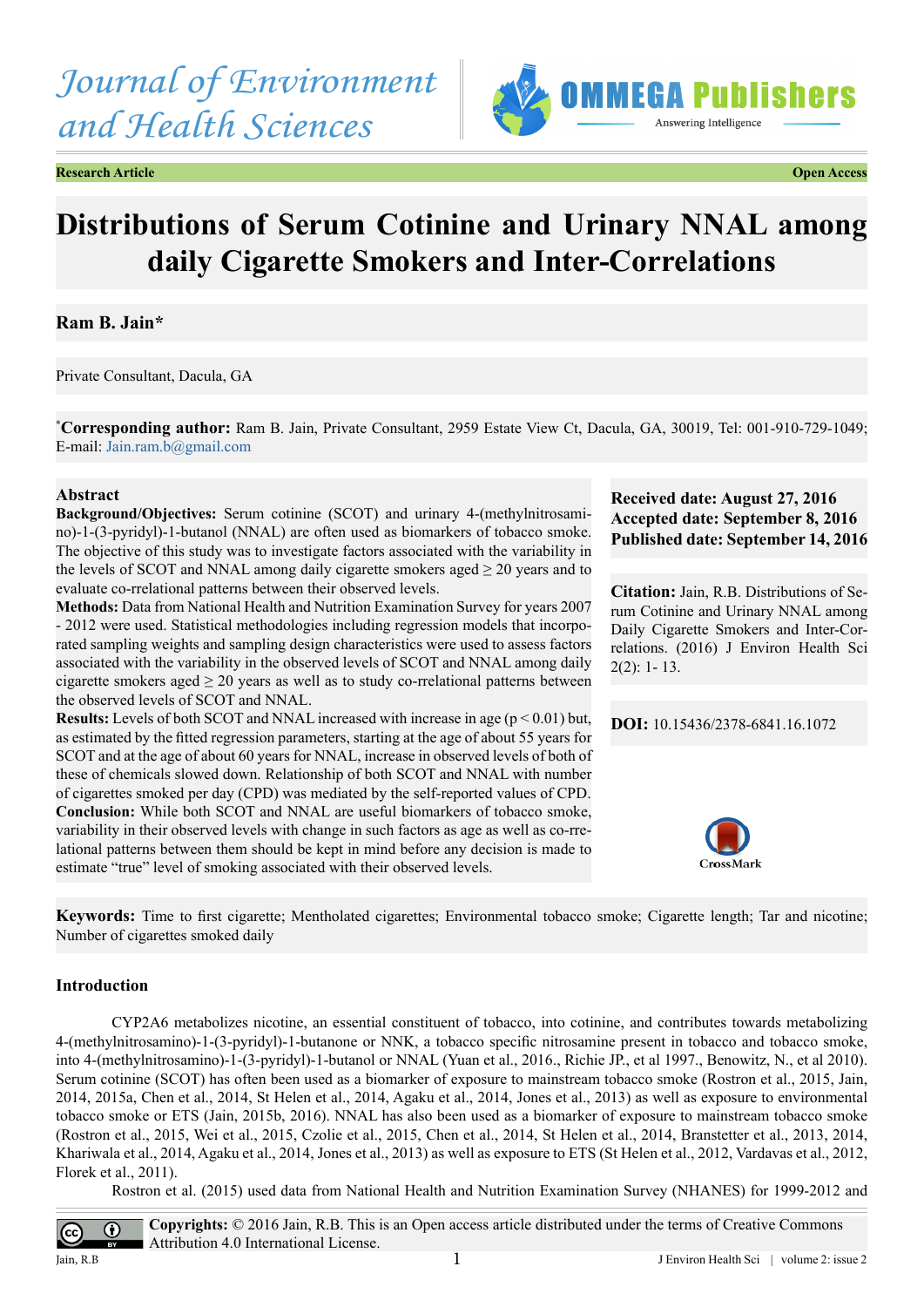# *Journal of Environment and Health Sciences*



**Research Article Open Access**

## **Distributions of Serum Cotinine and Urinary NNAL among daily Cigarette Smokers and Inter-Correlations**

### **Ram B. Jain\***

Private Consultant, Dacula, GA

**\* Corresponding author:** Ram B. Jain, Private Consultant, 2959 Estate View Ct, Dacula, GA, 30019, Tel: 001-910-729-1049; E-mail: [Jain.ram.b@gmail.com](mailto:Jain.ram.b@gmail.com)

#### **Abstract**

**Background/Objectives:** Serum cotinine (SCOT) and urinary 4-(methylnitrosamino)-1-(3-pyridyl)-1-butanol (NNAL) are often used as biomarkers of tobacco smoke. The objective of this study was to investigate factors associated with the variability in the levels of SCOT and NNAL among daily cigarette smokers aged  $\geq$  20 years and to evaluate co-rrelational patterns between their observed levels.

**Methods:** Data from National Health and Nutrition Examination Survey for years 2007 - 2012 were used. Statistical methodologies including regression models that incorporated sampling weights and sampling design characteristics were used to assess factors associated with the variability in the observed levels of SCOT and NNAL among daily cigarette smokers aged  $\geq 20$  years as well as to study co-rrelational patterns between the observed levels of SCOT and NNAL.

**Results:** Levels of both SCOT and NNAL increased with increase in age  $(p < 0.01)$  but, as estimated by the fitted regression parameters, starting at the age of about 55 years for SCOT and at the age of about 60 years for NNAL, increase in observed levels of both of these of chemicals slowed down. Relationship of both SCOT and NNAL with number of cigarettes smoked per day (CPD) was mediated by the self-reported values of CPD. **Conclusion:** While both SCOT and NNAL are useful biomarkers of tobacco smoke, variability in their observed levels with change in such factors as age as well as co-rrelational patterns between them should be kept in mind before any decision is made to estimate "true" level of smoking associated with their observed levels.

#### **Received date: August 27, 2016 Accepted date: September 8, 2016 Published date: September 14, 2016**

**Citation:** Jain, R.B. Distributions of Serum Cotinine and Urinary NNAL among Daily Cigarette Smokers and Inter-Correlations. (2016) J Environ Health Sci 2(2): 1- 13.

**DOI:** [10.15436/2378-6841.16.](http://www.dx.doi.org/10.15436/2378-6841.16.1072
)1072



**Keywords:** Time to first cigarette; Mentholated cigarettes; Environmental tobacco smoke; Cigarette length; Tar and nicotine; Number of cigarettes smoked daily

#### **Introduction**

CYP2A6 metabolizes nicotine, an essential constituent of tobacco, into cotinine, and contributes towards metabolizing 4-(methylnitrosamino)-1-(3-pyridyl)-1-butanone or NNK, a tobacco specific nitrosamine present in tobacco and tobacco smoke, into 4-(methylnitrosamino)-1-(3-pyridyl)-1-butanol or NNAL (Yuan et al., 2016., Richie JP., et al 1997., Benowitz, N., et al 2010). Serum cotinine (SCOT) has often been used as a biomarker of exposure to mainstream tobacco smoke (Rostron et al., 2015, Jain, 2014, 2015a, Chen et al., 2014, St Helen et al., 2014, Agaku et al., 2014, Jones et al., 2013) as well as exposure to environmental tobacco smoke or ETS (Jain, 2015b, 2016). NNAL has also been used as a biomarker of exposure to mainstream tobacco smoke (Rostron et al., 2015, Wei et al., 2015, Czolie et al., 2015, Chen et al., 2014, St Helen et al., 2014, Branstetter et al., 2013, 2014, Khariwala et al., 2014, Agaku et al., 2014, Jones et al., 2013) as well as exposure to ETS (St Helen et al., 2012, Vardavas et al., 2012, Florek et al., 2011).

Rostron et al. (2015) used data from National Health and Nutrition Examination Survey (NHANES) for 1999-2012 and

**Copyrights:** © 2016 Jain, R.B. This is an Open access article distributed under the terms of Creative Commons  $\bigcirc$ Attribution 4.0 International License. Jain, R.B  $1$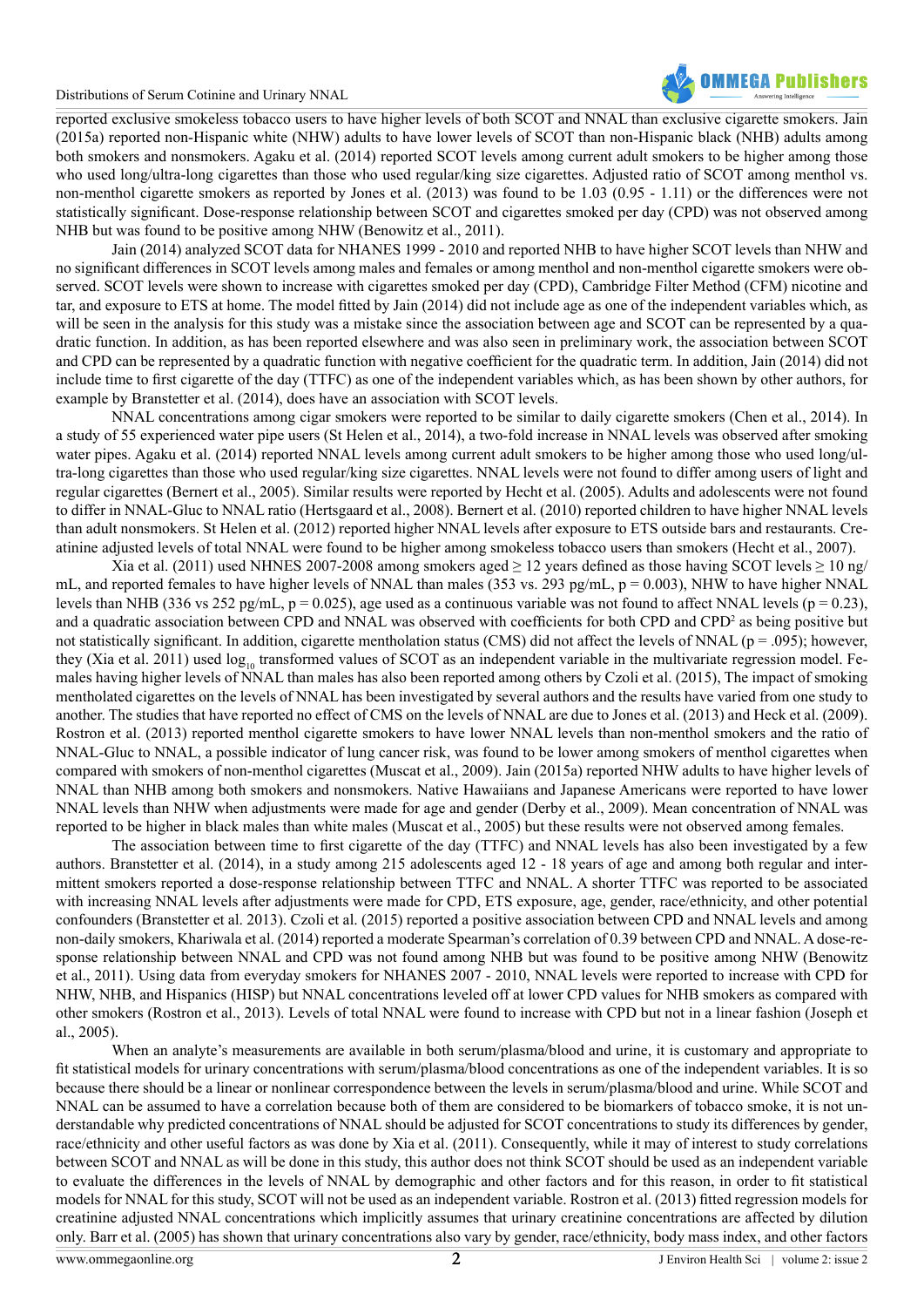

reported exclusive smokeless tobacco users to have higher levels of both SCOT and NNAL than exclusive cigarette smokers. Jain (2015a) reported non-Hispanic white (NHW) adults to have lower levels of SCOT than non-Hispanic black (NHB) adults among both smokers and nonsmokers. Agaku et al. (2014) reported SCOT levels among current adult smokers to be higher among those who used long/ultra-long cigarettes than those who used regular/king size cigarettes. Adjusted ratio of SCOT among menthol vs. non-menthol cigarette smokers as reported by Jones et al. (2013) was found to be 1.03 (0.95 - 1.11) or the differences were not statistically significant. Dose-response relationship between SCOT and cigarettes smoked per day (CPD) was not observed among NHB but was found to be positive among NHW (Benowitz et al., 2011).

Jain (2014) analyzed SCOT data for NHANES 1999 - 2010 and reported NHB to have higher SCOT levels than NHW and no significant differences in SCOT levels among males and females or among menthol and non-menthol cigarette smokers were observed. SCOT levels were shown to increase with cigarettes smoked per day (CPD), Cambridge Filter Method (CFM) nicotine and tar, and exposure to ETS at home. The model fitted by Jain (2014) did not include age as one of the independent variables which, as will be seen in the analysis for this study was a mistake since the association between age and SCOT can be represented by a quadratic function. In addition, as has been reported elsewhere and was also seen in preliminary work, the association between SCOT and CPD can be represented by a quadratic function with negative coefficient for the quadratic term. In addition, Jain (2014) did not include time to first cigarette of the day (TTFC) as one of the independent variables which, as has been shown by other authors, for example by Branstetter et al. (2014), does have an association with SCOT levels.

NNAL concentrations among cigar smokers were reported to be similar to daily cigarette smokers (Chen et al., 2014). In a study of 55 experienced water pipe users (St Helen et al., 2014), a two-fold increase in NNAL levels was observed after smoking water pipes. Agaku et al. (2014) reported NNAL levels among current adult smokers to be higher among those who used long/ultra-long cigarettes than those who used regular/king size cigarettes. NNAL levels were not found to differ among users of light and regular cigarettes (Bernert et al., 2005). Similar results were reported by Hecht et al. (2005). Adults and adolescents were not found to differ in NNAL-Gluc to NNAL ratio (Hertsgaard et al., 2008). Bernert et al. (2010) reported children to have higher NNAL levels than adult nonsmokers. St Helen et al. (2012) reported higher NNAL levels after exposure to ETS outside bars and restaurants. Creatinine adjusted levels of total NNAL were found to be higher among smokeless tobacco users than smokers (Hecht et al., 2007).

Xia et al. (2011) used NHNES 2007-2008 among smokers aged  $\geq$  12 years defined as those having SCOT levels  $\geq$  10 ng/ mL, and reported females to have higher levels of NNAL than males (353 vs. 293 pg/mL, p = 0.003), NHW to have higher NNAL levels than NHB (336 vs 252 pg/mL,  $p = 0.025$ ), age used as a continuous variable was not found to affect NNAL levels ( $p = 0.23$ ), and a quadratic association between CPD and NNAL was observed with coefficients for both CPD and CPD<sup>2</sup> as being positive but not statistically significant. In addition, cigarette mentholation status (CMS) did not affect the levels of NNAL (p = .095); however, they (Xia et al. 2011) used log<sub>10</sub> transformed values of SCOT as an independent variable in the multivariate regression model. Females having higher levels of NNAL than males has also been reported among others by Czoli et al. (2015), The impact of smoking mentholated cigarettes on the levels of NNAL has been investigated by several authors and the results have varied from one study to another. The studies that have reported no effect of CMS on the levels of NNAL are due to Jones et al. (2013) and Heck et al. (2009). Rostron et al. (2013) reported menthol cigarette smokers to have lower NNAL levels than non-menthol smokers and the ratio of NNAL-Gluc to NNAL, a possible indicator of lung cancer risk, was found to be lower among smokers of menthol cigarettes when compared with smokers of non-menthol cigarettes (Muscat et al., 2009). Jain (2015a) reported NHW adults to have higher levels of NNAL than NHB among both smokers and nonsmokers. Native Hawaiians and Japanese Americans were reported to have lower NNAL levels than NHW when adjustments were made for age and gender (Derby et al., 2009). Mean concentration of NNAL was reported to be higher in black males than white males (Muscat et al., 2005) but these results were not observed among females.

The association between time to first cigarette of the day (TTFC) and NNAL levels has also been investigated by a few authors. Branstetter et al. (2014), in a study among 215 adolescents aged 12 - 18 years of age and among both regular and intermittent smokers reported a dose-response relationship between TTFC and NNAL. A shorter TTFC was reported to be associated with increasing NNAL levels after adjustments were made for CPD, ETS exposure, age, gender, race/ethnicity, and other potential confounders (Branstetter et al. 2013). Czoli et al. (2015) reported a positive association between CPD and NNAL levels and among non-daily smokers, Khariwala et al. (2014) reported a moderate Spearman's correlation of 0.39 between CPD and NNAL. A dose-response relationship between NNAL and CPD was not found among NHB but was found to be positive among NHW (Benowitz et al., 2011). Using data from everyday smokers for NHANES 2007 - 2010, NNAL levels were reported to increase with CPD for NHW, NHB, and Hispanics (HISP) but NNAL concentrations leveled off at lower CPD values for NHB smokers as compared with other smokers (Rostron et al., 2013). Levels of total NNAL were found to increase with CPD but not in a linear fashion (Joseph et al., 2005).

When an analyte's measurements are available in both serum/plasma/blood and urine, it is customary and appropriate to fit statistical models for urinary concentrations with serum/plasma/blood concentrations as one of the independent variables. It is so because there should be a linear or nonlinear correspondence between the levels in serum/plasma/blood and urine. While SCOT and NNAL can be assumed to have a correlation because both of them are considered to be biomarkers of tobacco smoke, it is not understandable why predicted concentrations of NNAL should be adjusted for SCOT concentrations to study its differences by gender, race/ethnicity and other useful factors as was done by Xia et al. (2011). Consequently, while it may of interest to study correlations between SCOT and NNAL as will be done in this study, this author does not think SCOT should be used as an independent variable to evaluate the differences in the levels of NNAL by demographic and other factors and for this reason, in order to fit statistical models for NNAL for this study, SCOT will not be used as an independent variable. Rostron et al. (2013) fitted regression models for creatinine adjusted NNAL concentrations which implicitly assumes that urinary creatinine concentrations are affected by dilution only. Barr et al. (2005) has shown that urinary concentrations also vary by gender, race/ethnicity, body mass index, and other factors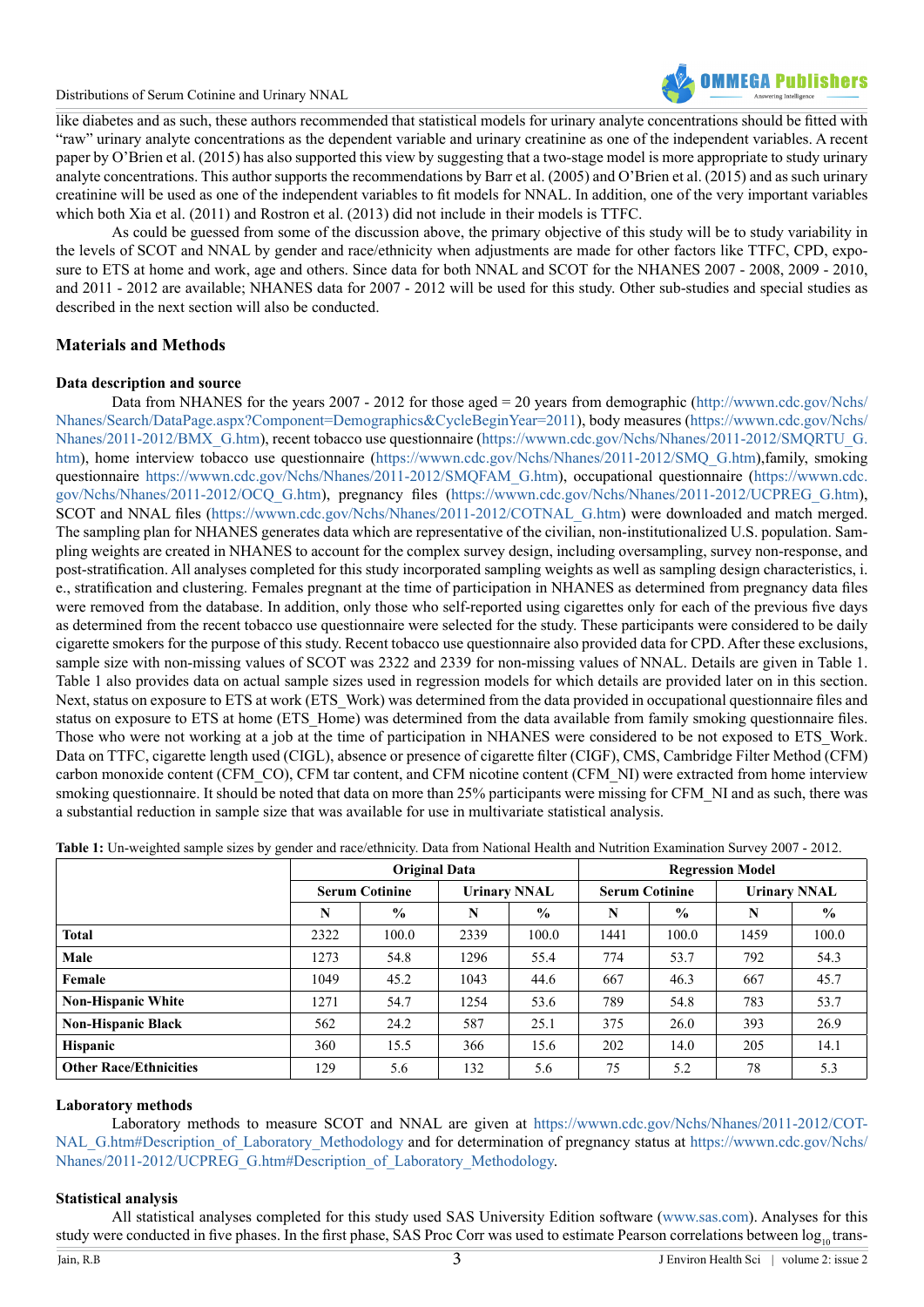

like diabetes and as such, these authors recommended that statistical models for urinary analyte concentrations should be fitted with "raw" urinary analyte concentrations as the dependent variable and urinary creatinine as one of the independent variables. A recent paper by O'Brien et al. (2015) has also supported this view by suggesting that a two-stage model is more appropriate to study urinary analyte concentrations. This author supports the recommendations by Barr et al. (2005) and O'Brien et al. (2015) and as such urinary creatinine will be used as one of the independent variables to fit models for NNAL. In addition, one of the very important variables which both Xia et al. (2011) and Rostron et al. (2013) did not include in their models is TTFC.

As could be guessed from some of the discussion above, the primary objective of this study will be to study variability in the levels of SCOT and NNAL by gender and race/ethnicity when adjustments are made for other factors like TTFC, CPD, exposure to ETS at home and work, age and others. Since data for both NNAL and SCOT for the NHANES 2007 - 2008, 2009 - 2010, and 2011 - 2012 are available; NHANES data for 2007 - 2012 will be used for this study. Other sub-studies and special studies as described in the next section will also be conducted.

#### **Materials and Methods**

#### **Data description and source**

Data from NHANES for the years 2007 - 2012 for those aged = 20 years from demographic (http://www.cdc.gov/Nchs/ [Nhanes/Search/DataPage.aspx?Component=Demographics&CycleBeginYear=2011\)](http://wwwn.cdc.gov/Nchs/Nhanes/Search/DataPage.aspx?Component=Demographics&CycleBeginYear=2011), body measures ([https://wwwn.cdc.gov/Nchs/](https://wwwn.cdc.gov/Nchs/Nhanes/2011-2012/BMX_G.htm) [Nhanes/2011-2012/BMX\\_G.htm\)](https://wwwn.cdc.gov/Nchs/Nhanes/2011-2012/BMX_G.htm), recent tobacco use questionnaire ([https://wwwn.cdc.gov/Nchs/Nhanes/2011-2012/SMQRTU\\_G.](https://wwwn.cdc.gov/Nchs/Nhanes/2011-2012/SMQRTU_G.htm) [htm\)](https://wwwn.cdc.gov/Nchs/Nhanes/2011-2012/SMQRTU_G.htm), home interview tobacco use questionnaire [\(https://wwwn.cdc.gov/Nchs/Nhanes/2011-2012/SMQ\\_G.htm](https://wwwn.cdc.gov/Nchs/Nhanes/2011-2012/SMQ_G.htm)),family, smoking questionnaire [https://wwwn.cdc.gov/Nchs/Nhanes/2011-2012/SMQFAM\\_G.htm\)](https://wwwn.cdc.gov/Nchs/Nhanes/2011-2012/SMQFAM_G.htm), occupational questionnaire ([https://wwwn.cdc.](https://wwwn.cdc.gov/Nchs/Nhanes/2011-2012/OCQ_G.htm) [gov/Nchs/Nhanes/2011-2012/OCQ\\_G.htm](https://wwwn.cdc.gov/Nchs/Nhanes/2011-2012/OCQ_G.htm)), pregnancy files ([https://wwwn.cdc.gov/Nchs/Nhanes/2011-2012/UCPREG\\_G.htm](https://wwwn.cdc.gov/Nchs/Nhanes/2011-2012/UCPREG_G.htm)), SCOT and NNAL files [\(https://wwwn.cdc.gov/Nchs/Nhanes/2011-2012/COTNAL\\_G.htm](https://wwwn.cdc.gov/Nchs/Nhanes/2011-2012/COTNAL_G.htm)) were downloaded and match merged. The sampling plan for NHANES generates data which are representative of the civilian, non-institutionalized U.S. population. Sampling weights are created in NHANES to account for the complex survey design, including oversampling, survey non-response, and post-stratification. All analyses completed for this study incorporated sampling weights as well as sampling design characteristics, i. e., stratification and clustering. Females pregnant at the time of participation in NHANES as determined from pregnancy data files were removed from the database. In addition, only those who self-reported using cigarettes only for each of the previous five days as determined from the recent tobacco use questionnaire were selected for the study. These participants were considered to be daily cigarette smokers for the purpose of this study. Recent tobacco use questionnaire also provided data for CPD. After these exclusions, sample size with non-missing values of SCOT was 2322 and 2339 for non-missing values of NNAL. Details are given in Table 1. Table 1 also provides data on actual sample sizes used in regression models for which details are provided later on in this section. Next, status on exposure to ETS at work (ETS\_Work) was determined from the data provided in occupational questionnaire files and status on exposure to ETS at home (ETS Home) was determined from the data available from family smoking questionnaire files. Those who were not working at a job at the time of participation in NHANES were considered to be not exposed to ETS\_Work. Data on TTFC, cigarette length used (CIGL), absence or presence of cigarette filter (CIGF), CMS, Cambridge Filter Method (CFM) carbon monoxide content (CFM\_CO), CFM tar content, and CFM nicotine content (CFM\_NI) were extracted from home interview smoking questionnaire. It should be noted that data on more than 25% participants were missing for CFM\_NI and as such, there was a substantial reduction in sample size that was available for use in multivariate statistical analysis.

|                               | <b>Original Data</b>  |               |                     |               | <b>Regression Model</b> |               |                     |               |
|-------------------------------|-----------------------|---------------|---------------------|---------------|-------------------------|---------------|---------------------|---------------|
|                               | <b>Serum Cotinine</b> |               | <b>Urinary NNAL</b> |               | <b>Serum Cotinine</b>   |               | <b>Urinary NNAL</b> |               |
|                               | N                     | $\frac{6}{6}$ | N                   | $\frac{6}{9}$ | N                       | $\frac{0}{0}$ | N                   | $\frac{6}{9}$ |
| <b>Total</b>                  | 2322                  | 100.0         | 2339                | 100.0         | 1441                    | 100.0         | 1459                | 100.0         |
| Male                          | 1273                  | 54.8          | 1296                | 55.4          | 774                     | 53.7          | 792                 | 54.3          |
| Female                        | 1049                  | 45.2          | 1043                | 44.6          | 667                     | 46.3          | 667                 | 45.7          |
| <b>Non-Hispanic White</b>     | 1271                  | 54.7          | 1254                | 53.6          | 789                     | 54.8          | 783                 | 53.7          |
| <b>Non-Hispanic Black</b>     | 562                   | 24.2          | 587                 | 25.1          | 375                     | 26.0          | 393                 | 26.9          |
| <b>Hispanic</b>               | 360                   | 15.5          | 366                 | 15.6          | 202                     | 14.0          | 205                 | 14.1          |
| <b>Other Race/Ethnicities</b> | 129                   | 5.6           | 132                 | 5.6           | 75                      | 5.2           | 78                  | 5.3           |

**Table 1:** Un-weighted sample sizes by gender and race/ethnicity. Data from National Health and Nutrition Examination Survey 2007 - 2012.

#### **Laboratory methods**

Laboratory methods to measure SCOT and NNAL are given at [https://wwwn.cdc.gov/Nchs/Nhanes/2011-2012/COT](https://wwwn.cdc.gov/Nchs/Nhanes/2011-2012/COTNAL_G.htm#Description_of_Laboratory_Methodology)-[NAL\\_G.htm#Description\\_of\\_Laboratory\\_Methodology](https://wwwn.cdc.gov/Nchs/Nhanes/2011-2012/COTNAL_G.htm#Description_of_Laboratory_Methodology) and for determination of pregnancy status at [https://wwwn.cdc.gov/Nchs/](https://wwwn.cdc.gov/Nchs/Nhanes/2011-2012/UCPREG_G.htm#Description_of_Laboratory_Methodology) [Nhanes/2011-2012/UCPREG\\_G.htm#Description\\_of\\_Laboratory\\_Methodology.](https://wwwn.cdc.gov/Nchs/Nhanes/2011-2012/UCPREG_G.htm#Description_of_Laboratory_Methodology)

#### **Statistical analysis**

All statistical analyses completed for this study used SAS University Edition software [\(www.sas.com](http://www.sas.com)). Analyses for this study were conducted in five phases. In the first phase, SAS Proc Corr was used to estimate Pearson correlations between log<sub>10</sub> trans-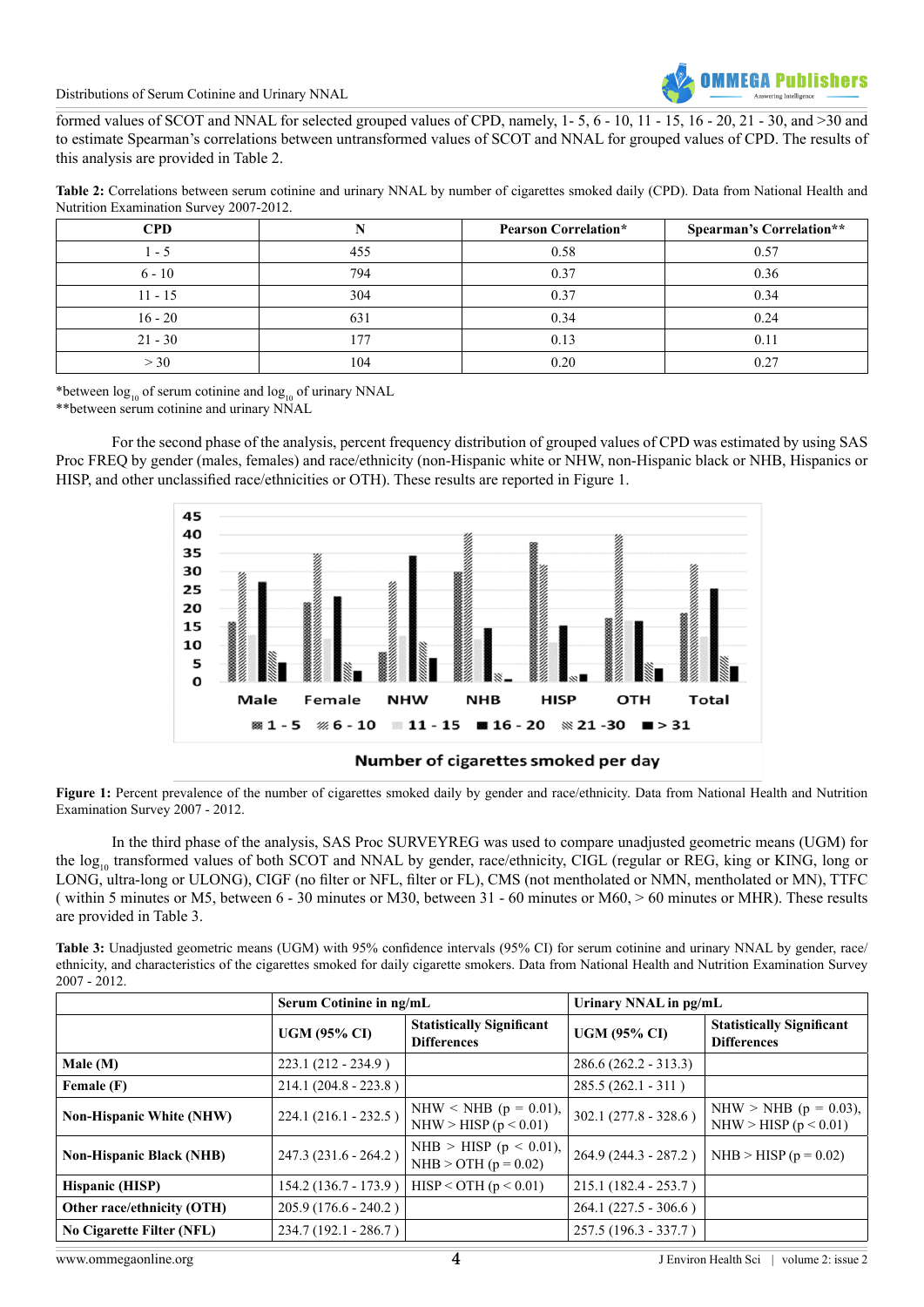

formed values of SCOT and NNAL for selected grouped values of CPD, namely, 1- 5, 6 - 10, 11 - 15, 16 - 20, 21 - 30, and >30 and to estimate Spearman's correlations between untransformed values of SCOT and NNAL for grouped values of CPD. The results of this analysis are provided in Table 2.

**Table 2:** Correlations between serum cotinine and urinary NNAL by number of cigarettes smoked daily (CPD). Data from National Health and Nutrition Examination Survey 2007-2012.

| CPD       |     | <b>Pearson Correlation*</b> | <b>Spearman's Correlation**</b> |
|-----------|-----|-----------------------------|---------------------------------|
| $1 - 5$   | 455 | 0.58                        | 0.57                            |
| $6 - 10$  | 794 | 0.37                        | 0.36                            |
| $11 - 15$ | 304 | 0.37                        | 0.34                            |
| $16 - 20$ | 631 | 0.34                        | 0.24                            |
| $21 - 30$ | 177 | 0.13                        | 0.11                            |
| > 30      | 104 | 0.20                        | 0.27                            |

\*between  $log_{10}$  of serum cotinine and  $log_{10}$  of urinary NNAL

\*\*between serum cotinine and urinary NNAL

For the second phase of the analysis, percent frequency distribution of grouped values of CPD was estimated by using SAS Proc FREQ by gender (males, females) and race/ethnicity (non-Hispanic white or NHW, non-Hispanic black or NHB, Hispanics or HISP, and other unclassified race/ethnicities or OTH). These results are reported in Figure 1.



**Figure 1:** Percent prevalence of the number of cigarettes smoked daily by gender and race/ethnicity. Data from National Health and Nutrition Examination Survey 2007 - 2012.

In the third phase of the analysis, SAS Proc SURVEYREG was used to compare unadjusted geometric means (UGM) for the log<sub>10</sub> transformed values of both SCOT and NNAL by gender, race/ethnicity, CIGL (regular or REG, king or KING, long or LONG, ultra-long or ULONG), CIGF (no filter or NFL, filter or FL), CMS (not mentholated or NMN, mentholated or MN), TTFC ( within 5 minutes or M5, between 6 - 30 minutes or M30, between 31 - 60 minutes or M60, > 60 minutes or MHR). These results are provided in Table 3.

**Table 3:** Unadjusted geometric means (UGM) with 95% confidence intervals (95% CI) for serum cotinine and urinary NNAL by gender, race/ ethnicity, and characteristics of the cigarettes smoked for daily cigarette smokers. Data from National Health and Nutrition Examination Survey 2007 - 2012.

|                                  | Serum Cotinine in ng/mL |                                                        | Urinary NNAL in pg/mL   |                                                        |  |
|----------------------------------|-------------------------|--------------------------------------------------------|-------------------------|--------------------------------------------------------|--|
|                                  | <b>UGM (95% CI)</b>     | <b>Statistically Significant</b><br><b>Differences</b> | <b>UGM (95% CI)</b>     | <b>Statistically Significant</b><br><b>Differences</b> |  |
| Male (M)                         | $223.1(212 - 234.9)$    |                                                        | $286.6(262.2 - 313.3)$  |                                                        |  |
| Female (F)                       | $214.1(204.8 - 223.8)$  |                                                        | $285.5(262.1 - 311)$    |                                                        |  |
| <b>Non-Hispanic White (NHW)</b>  | 224.1 (216.1 - 232.5)   | NHW < NHB ( $p = 0.01$ ),<br>NHW > HISP ( $p < 0.01$ ) | $302.1 (277.8 - 328.6)$ | NHW > NHB ( $p = 0.03$ ),<br>NHW > HISP ( $p < 0.01$ ) |  |
| <b>Non-Hispanic Black (NHB)</b>  | 247.3 (231.6 - 264.2)   | NHB > HISP ( $p < 0.01$ ),<br>NHB > OTH $(p = 0.02)$   | $264.9(244.3 - 287.2)$  | NHB > HISP ( $p = 0.02$ )                              |  |
| Hispanic (HISP)                  | 154.2 (136.7 - 173.9)   | $HISP <$ OTH (p < 0.01)                                | $215.1(182.4 - 253.7)$  |                                                        |  |
| Other race/ethnicity (OTH)       | 205.9 (176.6 - 240.2)   |                                                        | $264.1(227.5 - 306.6)$  |                                                        |  |
| <b>No Cigarette Filter (NFL)</b> | 234.7 (192.1 - 286.7)   |                                                        | 257.5 (196.3 - 337.7)   |                                                        |  |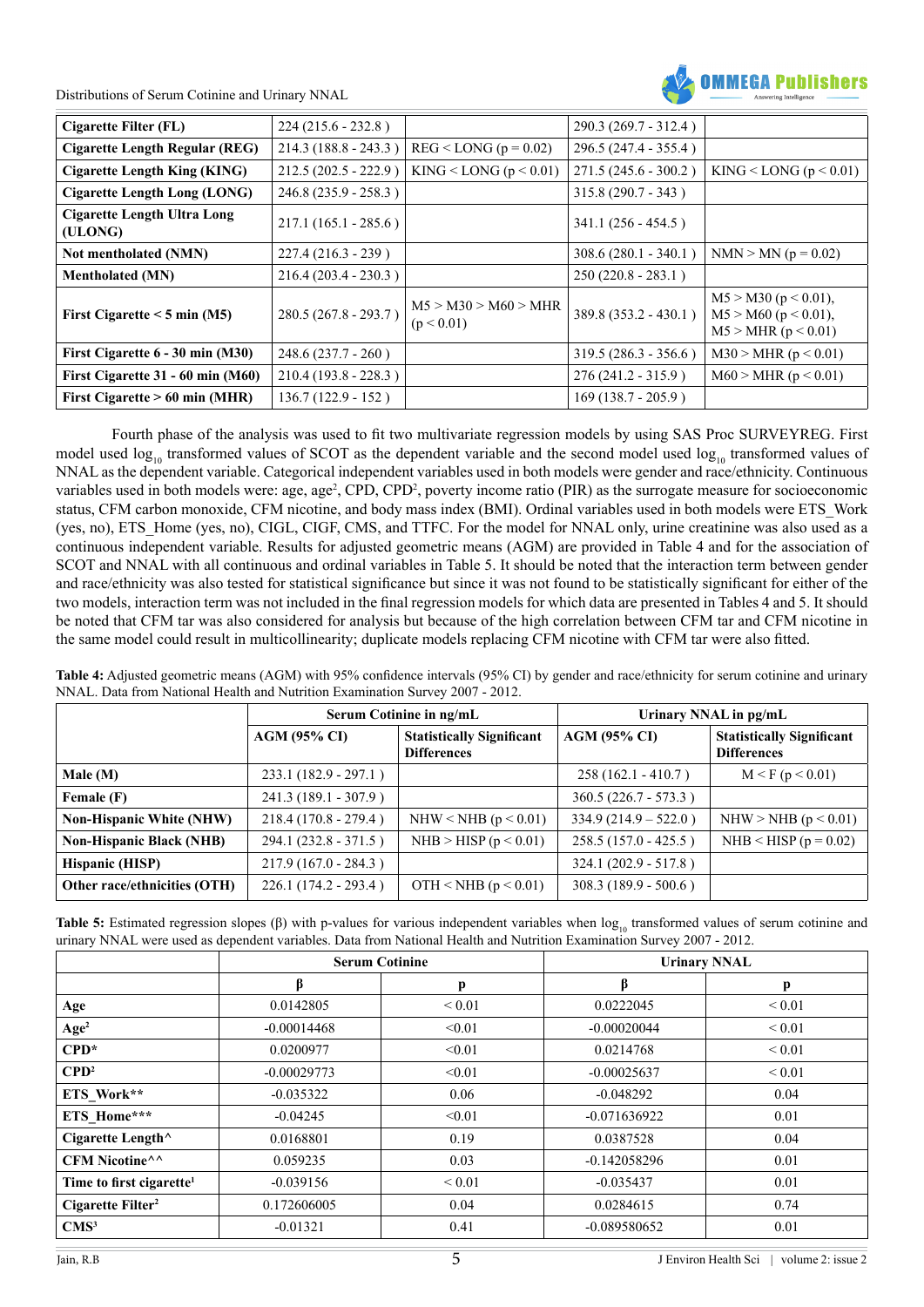

| Cigarette Filter (FL)                  | $224(215.6 - 232.8)$   |                                    | $290.3(269.7 - 312.4)$ |                                                                         |
|----------------------------------------|------------------------|------------------------------------|------------------------|-------------------------------------------------------------------------|
| Cigarette Length Regular (REG)         | $214.3(188.8 - 243.3)$ | $REG <$ LONG ( $p = 0.02$ )        | 296.5 (247.4 - 355.4)  |                                                                         |
| <b>Cigarette Length King (KING)</b>    | $212.5(202.5 - 222.9)$ | KING $\leq$ LONG (p $\leq$ 0.01)   | 271.5 (245.6 - 300.2)  | KING < LONG $(p < 0.01)$                                                |
| Cigarette Length Long (LONG)           | $246.8(235.9 - 258.3)$ |                                    | $315.8(290.7 - 343)$   |                                                                         |
| Cigarette Length Ultra Long<br>(ULONG) | $217.1(165.1 - 285.6)$ |                                    | $341.1(256 - 454.5)$   |                                                                         |
| Not mentholated (NMN)                  | $227.4(216.3 - 239)$   |                                    | $308.6(280.1 - 340.1)$ | $NMN > MN$ (p = 0.02)                                                   |
| <b>Mentholated (MN)</b>                | $216.4(203.4 - 230.3)$ |                                    | $250(220.8 - 283.1)$   |                                                                         |
| First Cigarette $\leq$ 5 min (M5)      | $280.5(267.8 - 293.7)$ | M5 > M30 > M60 > MHR<br>(p < 0.01) | 389.8 (353.2 - 430.1)  | $M5 > M30$ (p < 0.01),<br>$M5 > M60$ (p < 0.01),<br>M5 > MHR (p < 0.01) |
| First Cigarette $6 - 30$ min (M30)     | $248.6(237.7 - 260)$   |                                    | $319.5(286.3 - 356.6)$ | M30 > MHR (p < 0.01)                                                    |
| First Cigarette 31 - 60 min (M60)      | $210.4(193.8 - 228.3)$ |                                    | $276(241.2 - 315.9)$   | M60 > MHR (p < 0.01)                                                    |
| First Cigarette $> 60$ min (MHR)       | $136.7(122.9 - 152)$   |                                    | $169(138.7 - 205.9)$   |                                                                         |

Fourth phase of the analysis was used to fit two multivariate regression models by using SAS Proc SURVEYREG. First model used  $\log_{10}$  transformed values of SCOT as the dependent variable and the second model used  $\log_{10}$  transformed values of NNAL as the dependent variable. Categorical independent variables used in both models were gender and race/ethnicity. Continuous variables used in both models were: age, age<sup>2</sup>, CPD, CPD<sup>2</sup>, poverty income ratio (PIR) as the surrogate measure for socioeconomic status, CFM carbon monoxide, CFM nicotine, and body mass index (BMI). Ordinal variables used in both models were ETS\_Work (yes, no), ETS\_Home (yes, no), CIGL, CIGF, CMS, and TTFC. For the model for NNAL only, urine creatinine was also used as a continuous independent variable. Results for adjusted geometric means (AGM) are provided in Table 4 and for the association of SCOT and NNAL with all continuous and ordinal variables in Table 5. It should be noted that the interaction term between gender and race/ethnicity was also tested for statistical significance but since it was not found to be statistically significant for either of the two models, interaction term was not included in the final regression models for which data are presented in Tables 4 and 5. It should be noted that CFM tar was also considered for analysis but because of the high correlation between CFM tar and CFM nicotine in the same model could result in multicollinearity; duplicate models replacing CFM nicotine with CFM tar were also fitted.

**Table 4:** Adjusted geometric means (AGM) with 95% confidence intervals (95% CI) by gender and race/ethnicity for serum cotinine and urinary NNAL. Data from National Health and Nutrition Examination Survey 2007 - 2012.

|                                 |                        | Serum Cotinine in ng/mL                                | Urinary NNAL in pg/mL   |                                                        |  |
|---------------------------------|------------------------|--------------------------------------------------------|-------------------------|--------------------------------------------------------|--|
|                                 | <b>AGM (95% CI)</b>    | <b>Statistically Significant</b><br><b>Differences</b> | <b>AGM (95% CI)</b>     | <b>Statistically Significant</b><br><b>Differences</b> |  |
| Male $(M)$                      | $233.1(182.9 - 297.1)$ |                                                        | $258(162.1 - 410.7)$    | M < F (p < 0.01)                                       |  |
| Female (F)                      | $241.3(189.1 - 307.9)$ |                                                        | $360.5 (226.7 - 573.3)$ |                                                        |  |
| <b>Non-Hispanic White (NHW)</b> | $218.4(170.8 - 279.4)$ | NHW < NHB ( $p < 0.01$ )                               | $334.9(214.9 - 522.0)$  | NHW > NHB ( $p < 0.01$ )                               |  |
| <b>Non-Hispanic Black (NHB)</b> | $294.1(232.8 - 371.5)$ | NHB > HISP ( $p < 0.01$ )                              | $258.5(157.0 - 425.5)$  | NHB < HISP ( $p = 0.02$ )                              |  |
| Hispanic (HISP)                 | $217.9(167.0 - 284.3)$ |                                                        | $324.1 (202.9 - 517.8)$ |                                                        |  |
| Other race/ethnicities (OTH)    | $226.1(174.2 - 293.4)$ | OTH < NHB $(p < 0.01)$                                 | $308.3(189.9 - 500.6)$  |                                                        |  |

Table 5: Estimated regression slopes ( $\beta$ ) with p-values for various independent variables when  $\log_{10}$  transformed values of serum cotinine and urinary NNAL were used as dependent variables. Data from National Health and Nutrition Examination Survey 2007 - 2012.

|                                      | <b>Serum Cotinine</b> |             | <b>Urinary NNAL</b> |             |
|--------------------------------------|-----------------------|-------------|---------------------|-------------|
|                                      | β                     | p           | ß                   | р           |
| Age                                  | 0.0142805             | ${}_{0.01}$ | 0.0222045           | ${}_{0.01}$ |
| Age <sup>2</sup>                     | $-0.00014468$         | < 0.01      | $-0.00020044$       | ${}_{0.01}$ |
| $CPD*$                               | 0.0200977             | < 0.01      | 0.0214768           | ${}_{0.01}$ |
| $\mathbf{CPD}^2$                     | $-0.00029773$         | < 0.01      | $-0.00025637$       | ${}_{0.01}$ |
| ETS Work**                           | $-0.035322$           | 0.06        | $-0.048292$         | 0.04        |
| ETS_Home***                          | $-0.04245$            | < 0.01      | $-0.071636922$      | 0.01        |
| Cigarette Length^                    | 0.0168801             | 0.19        | 0.0387528           | 0.04        |
| CFM Nicotine^^                       | 0.059235              | 0.03        | $-0.142058296$      | 0.01        |
| Time to first cigarette <sup>1</sup> | $-0.039156$           | ${}_{0.01}$ | $-0.035437$         | 0.01        |
| Cigarette Filter <sup>2</sup>        | 0.172606005           | 0.04        | 0.0284615           | 0.74        |
| CMS <sup>3</sup>                     | $-0.01321$            | 0.41        | $-0.089580652$      | 0.01        |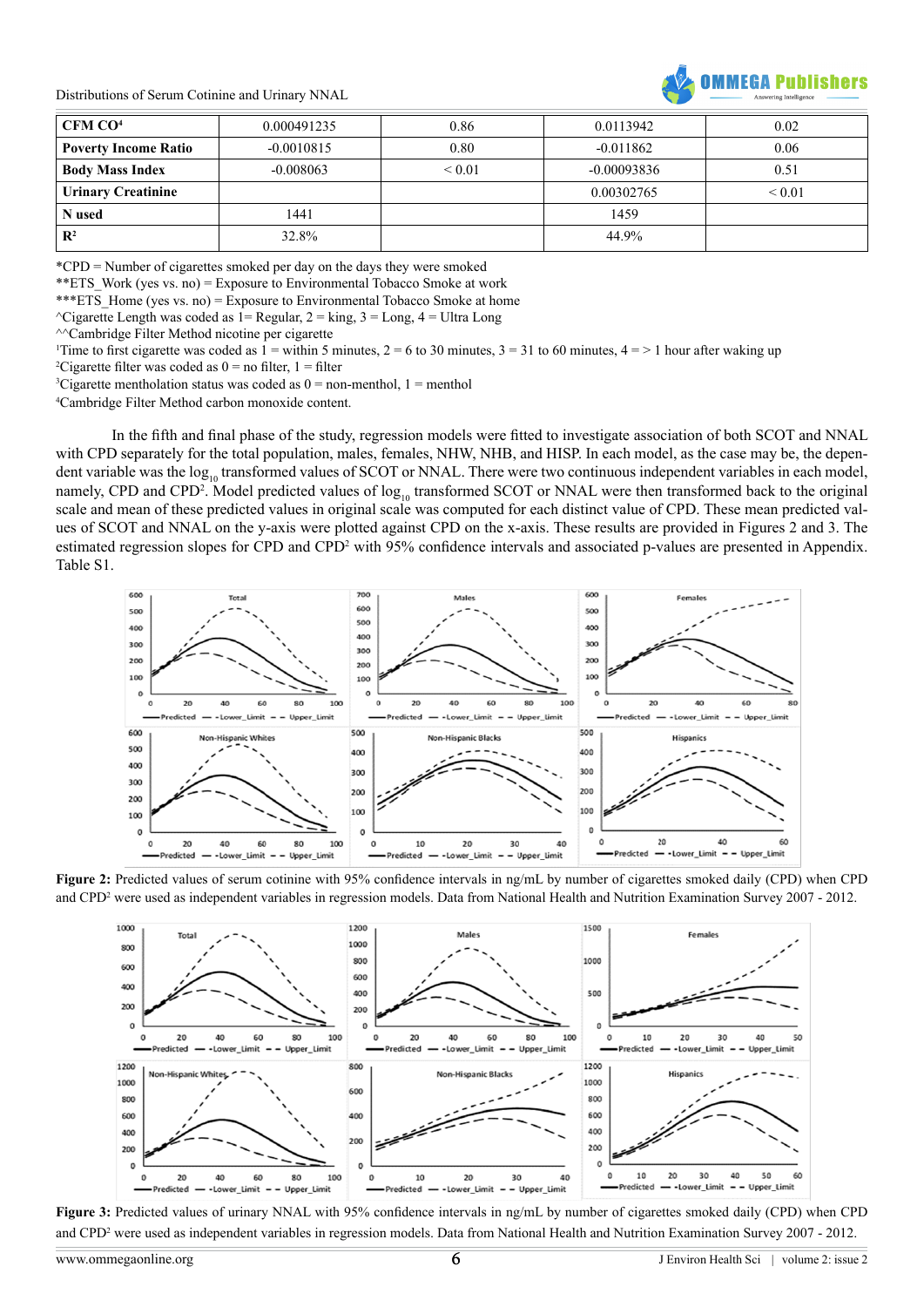

| $\vert$ CFM CO <sup>4</sup> | 0.000491235  | 0.86             | 0.0113942     | 0.02        |
|-----------------------------|--------------|------------------|---------------|-------------|
| <b>Poverty Income Ratio</b> | $-0.0010815$ | 0.80             | $-0.011862$   | 0.06        |
| <b>Body Mass Index</b>      | $-0.008063$  | ${}_{\leq 0.01}$ | $-0.00093836$ | 0.51        |
| <b>Urinary Creatinine</b>   |              |                  | 0.00302765    | ${}_{0.01}$ |
| N used                      | 1441         |                  | 1459          |             |
| $\mathbf{R}^2$              | 32.8%        |                  | 44.9%         |             |

\*CPD = Number of cigarettes smoked per day on the days they were smoked

\*\*ETS Work (yes vs. no) = Exposure to Environmental Tobacco Smoke at work

\*\*\*ETS Home (yes vs. no) = Exposure to Environmental Tobacco Smoke at home

 $\text{^\prime C}$ igarette Length was coded as 1= Regular, 2 = king, 3 = Long, 4 = Ultra Long

^^Cambridge Filter Method nicotine per cigarette

Time to first cigarette was coded as  $1 =$  within 5 minutes,  $2 = 6$  to 30 minutes,  $3 = 31$  to 60 minutes,  $4 =$  > 1 hour after waking up

<sup>2</sup>Cigarette filter was coded as  $0 =$  no filter,  $1 =$  filter

<sup>3</sup>Cigarette mentholation status was coded as  $0 =$  non-menthol,  $1 =$  menthol

4 Cambridge Filter Method carbon monoxide content.

In the fifth and final phase of the study, regression models were fitted to investigate association of both SCOT and NNAL with CPD separately for the total population, males, females, NHW, NHB, and HISP. In each model, as the case may be, the dependent variable was the  $log_{10}$  transformed values of SCOT or NNAL. There were two continuous independent variables in each model, namely, CPD and CPD<sup>2</sup>. Model predicted values of  $log_{10}$  transformed SCOT or NNAL were then transformed back to the original scale and mean of these predicted values in original scale was computed for each distinct value of CPD. These mean predicted values of SCOT and NNAL on the y-axis were plotted against CPD on the x-axis. These results are provided in Figures 2 and 3. The estimated regression slopes for CPD and CPD<sup>2</sup> with 95% confidence intervals and associated p-values are presented in Appendix. Table S1.



**Figure 2:** Predicted values of serum cotinine with 95% confidence intervals in ng/mL by number of cigarettes smoked daily (CPD) when CPD and CPD2 were used as independent variables in regression models. Data from National Health and Nutrition Examination Survey 2007 - 2012.



**Figure 3:** Predicted values of urinary NNAL with 95% confidence intervals in ng/mL by number of cigarettes smoked daily (CPD) when CPD and CPD2 were used as independent variables in regression models. Data from National Health and Nutrition Examination Survey 2007 - 2012.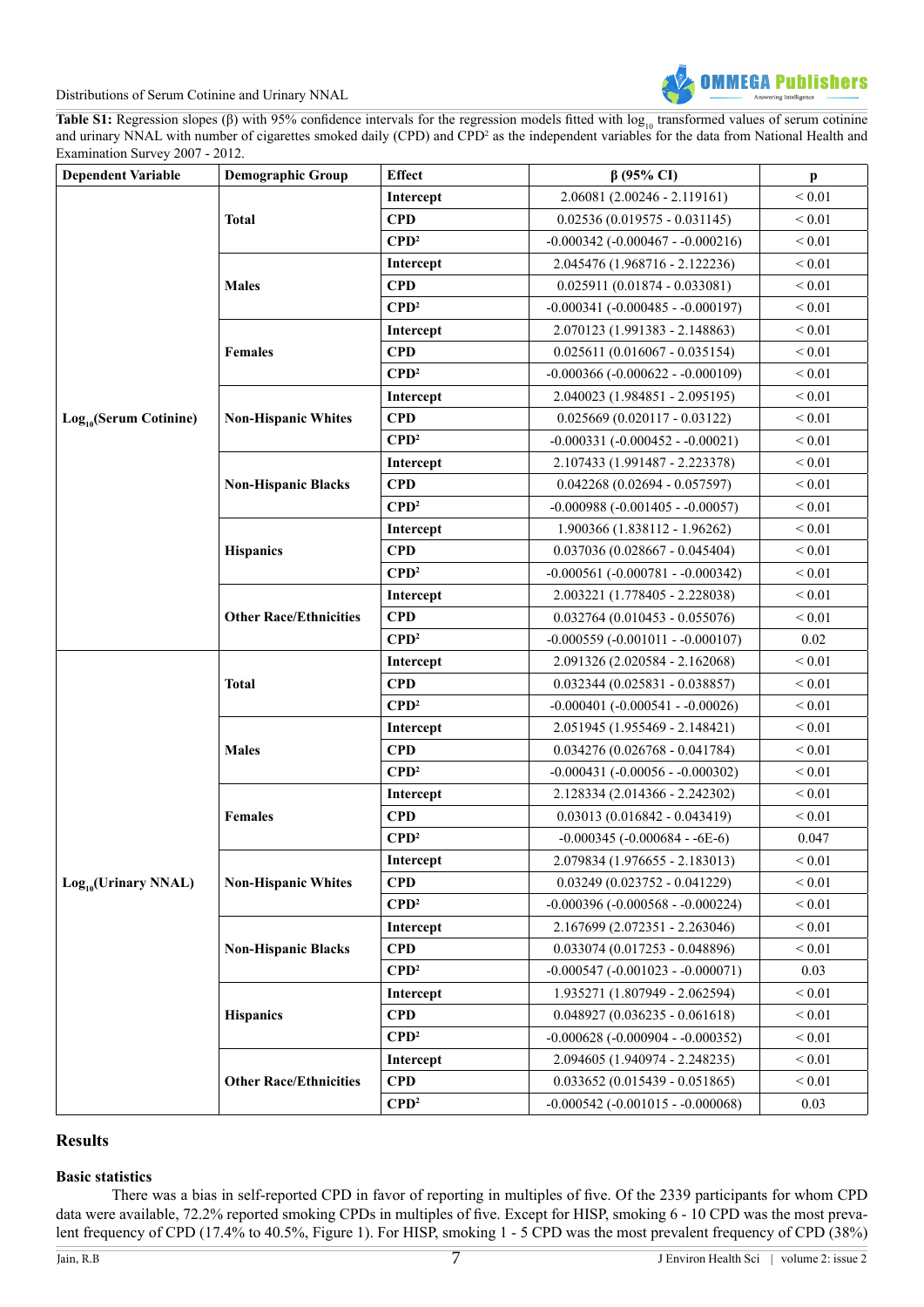

Table S1: Regression slopes ( $\beta$ ) with 95% confidence intervals for the regression models fitted with  $\log_{10}$  transformed values of serum cotinine and urinary NNAL with number of cigarettes smoked daily (CPD) and CPD<sup>2</sup> as the independent variables for the data from National Health and Examination Survey 2007 - 2012.

| <b>Dependent Variable</b>   | <b>Demographic Group</b>      | <b>Effect</b>                      | $\beta$ (95% CI)                          | $\mathbf{p}$     |
|-----------------------------|-------------------------------|------------------------------------|-------------------------------------------|------------------|
|                             |                               | Intercept                          | $2.06081(2.00246 - 2.119161)$             | ${}_{0.01}$      |
|                             | <b>Total</b>                  | <b>CPD</b>                         | $0.02536(0.019575 - 0.031145)$            | ${}_{0.01}$      |
|                             |                               | $\mathbf{C}\mathbf{P}\mathbf{D}^2$ | $-0.000342$ ( $-0.000467 - 0.000216$ )    | ${}_{0.01}$      |
|                             |                               | Intercept                          | 2.045476 (1.968716 - 2.122236)            | $< 0.01$         |
|                             | <b>Males</b>                  | <b>CPD</b>                         | $0.025911(0.01874 - 0.033081)$            | ${}_{0.01}$      |
|                             |                               | $\mathbf{CPD}^2$                   | $-0.000341$ ( $-0.000485 - 0.000197$ )    | ${}_{0.01}$      |
|                             |                               | Intercept                          | 2.070123 (1.991383 - 2.148863)            | $\leq 0.01$      |
|                             | <b>Females</b>                | <b>CPD</b>                         | $0.025611 (0.016067 - 0.035154)$          | ${}_{0.01}$      |
|                             |                               | $\mathbf{CPD}^2$                   | $-0.000366(-0.000622 - 0.000109)$         | $< 0.01$         |
|                             |                               | Intercept                          | 2.040023 (1.984851 - 2.095195)            | ${}_{0.01}$      |
| $Log_{10}$ (Serum Cotinine) | <b>Non-Hispanic Whites</b>    | <b>CPD</b>                         | $0.025669(0.020117 - 0.03122)$            | ${}_{0.01}$      |
|                             |                               | $\mathbf{CPD}^2$                   | $-0.000331 (-0.000452 - 0.00021)$         | $< 0.01$         |
|                             |                               | Intercept                          | 2.107433 (1.991487 - 2.223378)            | $\leq 0.01$      |
|                             | <b>Non-Hispanic Blacks</b>    | <b>CPD</b>                         | $0.042268(0.02694 - 0.057597)$            | ${}_{0.01}$      |
|                             |                               | $\mathbf{CPD}^2$                   | $-0.000988$ ( $-0.001405 - 0.00057$ )     | $\leq 0.01$      |
|                             |                               | Intercept                          | 1.900366 (1.838112 - 1.96262)             | ${}_{0.01}$      |
|                             | <b>Hispanics</b>              | <b>CPD</b>                         | $0.037036(0.028667 - 0.045404)$           | $< 0.01$         |
|                             |                               | $\mathbf{C}\mathbf{P}\mathbf{D}^2$ | $-0.000561$ ( $-0.000781$ - $-0.000342$ ) | ${}_{0.01}$      |
|                             | <b>Other Race/Ethnicities</b> | Intercept                          | 2.003221 (1.778405 - 2.228038)            | ${}_{0.01}$      |
|                             |                               | <b>CPD</b>                         | $0.032764 (0.010453 - 0.055076)$          | ${}_{0.01}$      |
|                             |                               | $\mathbf{CPD}^2$                   | $-0.000559(-0.001011 - 0.000107)$         | 0.02             |
|                             | <b>Total</b>                  | Intercept                          | 2.091326 (2.020584 - 2.162068)            | ${}_{0.01}$      |
|                             |                               | <b>CPD</b>                         | $0.032344 (0.025831 - 0.038857)$          | $< 0.01$         |
|                             |                               | $\mathbf{C}\mathbf{P}\mathbf{D}^2$ | $-0.000401$ $(-0.000541 - 0.00026)$       | ${}_{0.01}$      |
|                             | <b>Males</b>                  | Intercept                          | 2.051945 (1.955469 - 2.148421)            | ${}_{0.01}$      |
|                             |                               | <b>CPD</b>                         | $0.034276(0.026768 - 0.041784)$           | ${}_{0.01}$      |
|                             |                               | $\mathbf{CPD}^2$                   | $-0.000431$ ( $-0.00056 - 0.000302$ )     | ${}_{0.01}$      |
|                             |                               | Intercept                          | 2.128334 (2.014366 - 2.242302)            | $< 0.01$         |
|                             | <b>Females</b>                | <b>CPD</b>                         | $0.03013(0.016842 - 0.043419)$            | ${}< 0.01$       |
|                             |                               | $\mathbf{C}\mathbf{P}\mathbf{D}^2$ | $-0.000345 (-0.000684 - 6E-6)$            | 0.047            |
|                             |                               | Intercept                          | 2.079834 (1.976655 - 2.183013)            | ${}_{0.01}$      |
| $Log_{10}(Urinary NNAL)$    | <b>Non-Hispanic Whites</b>    | <b>CPD</b>                         | $0.03249(0.023752 - 0.041229)$            | ${}_{\leq 0.01}$ |
|                             |                               | $\mathbf{CPD}^2$                   | $-0.000396 (-0.000568 - 0.000224)$        | ${}_{0.01}$      |
|                             |                               | Intercept                          | 2.167699 (2.072351 - 2.263046)            | ${}_{0.01}$      |
|                             | <b>Non-Hispanic Blacks</b>    | <b>CPD</b>                         | $0.033074$ (0.017253 - 0.048896)          | ${}_{0.01}$      |
|                             |                               | $\mathbf{CPD}^2$                   | $-0.000547$ ( $-0.001023 - 0.000071$ )    | 0.03             |
|                             |                               | Intercept                          | 1.935271 (1.807949 - 2.062594)            | $\leq 0.01$      |
|                             | <b>Hispanics</b>              | <b>CPD</b>                         | $0.048927(0.036235 - 0.061618)$           | ${}< 0.01$       |
|                             |                               | $\mathbf{CPD}^2$                   | $-0.000628$ ( $-0.000904 - 0.000352$ )    | $\leq 0.01$      |
|                             | <b>Other Race/Ethnicities</b> | Intercept                          | 2.094605 (1.940974 - 2.248235)            | ${}< 0.01$       |
|                             |                               | <b>CPD</b>                         | $0.033652(0.015439 - 0.051865)$           | $< 0.01$         |
|                             |                               | $\mathbf{CPD}^2$                   | $-0.000542$ ( $-0.001015 - 0.000068$ )    | 0.03             |

#### **Results**

#### **Basic statistics**

There was a bias in self-reported CPD in favor of reporting in multiples of five. Of the 2339 participants for whom CPD data were available, 72.2% reported smoking CPDs in multiples of five. Except for HISP, smoking 6 - 10 CPD was the most prevalent frequency of CPD (17.4% to 40.5%, Figure 1). For HISP, smoking 1 - 5 CPD was the most prevalent frequency of CPD (38%)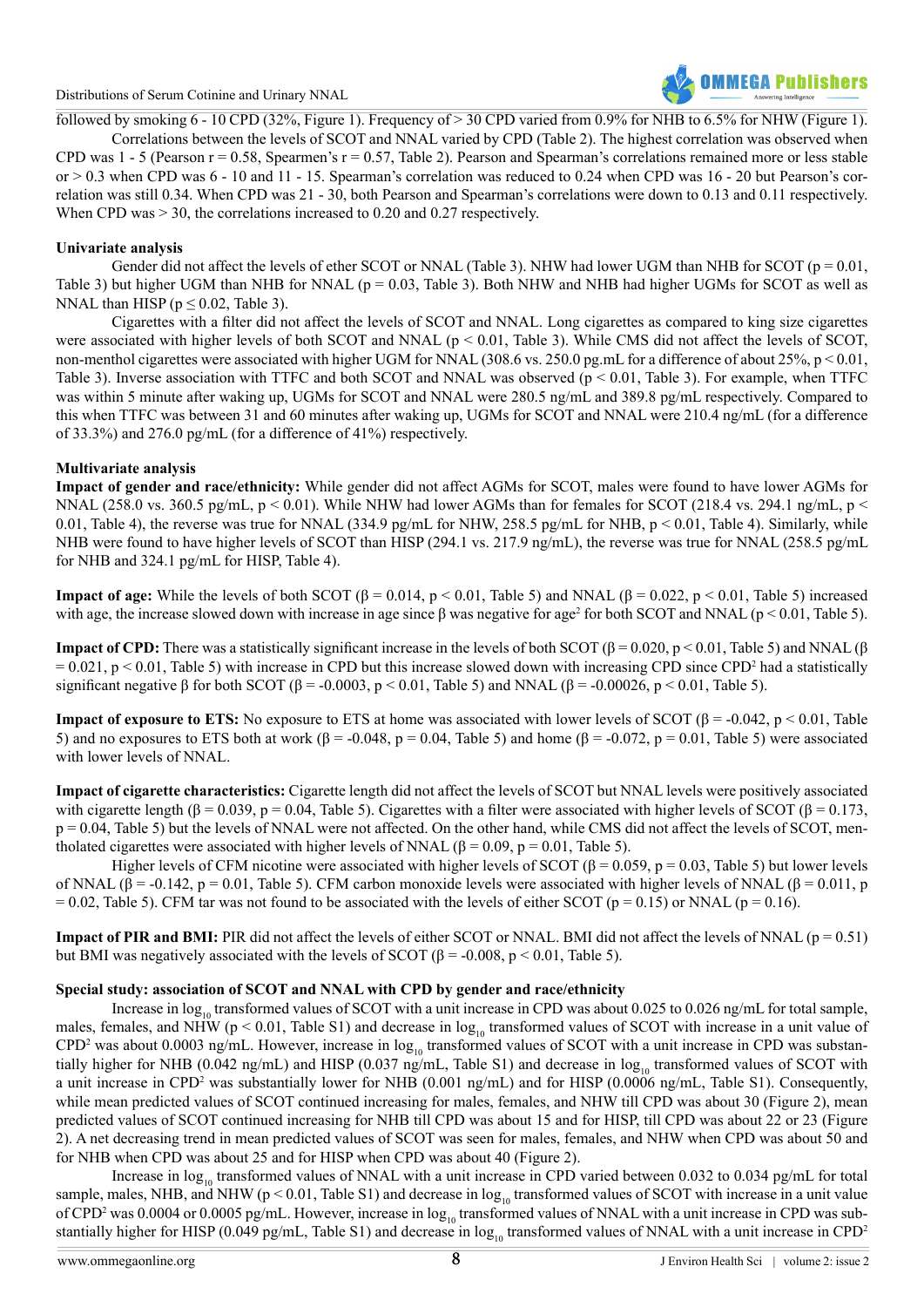

followed by smoking  $\overline{6}$  - 10 CPD (32%, Figure 1). Frequency of > 30 CPD varied from 0.9% for NHB to 6.5% for NHW (Figure 1).

Correlations between the levels of SCOT and NNAL varied by CPD (Table 2). The highest correlation was observed when CPD was  $1 - 5$  (Pearson  $r = 0.58$ , Spearmen's  $r = 0.57$ , Table 2). Pearson and Spearman's correlations remained more or less stable or  $> 0.3$  when CPD was  $6 - 10$  and  $11 - 15$ . Spearman's correlation was reduced to 0.24 when CPD was  $16 - 20$  but Pearson's correlation was still 0.34. When CPD was 21 - 30, both Pearson and Spearman's correlations were down to 0.13 and 0.11 respectively. When CPD was  $> 30$ , the correlations increased to 0.20 and 0.27 respectively.

#### **Univariate analysis**

Gender did not affect the levels of ether SCOT or NNAL (Table 3). NHW had lower UGM than NHB for SCOT ( $p = 0.01$ , Table 3) but higher UGM than NHB for NNAL ( $p = 0.03$ , Table 3). Both NHW and NHB had higher UGMs for SCOT as well as NNAL than HISP ( $p \le 0.02$ , Table 3).

Cigarettes with a filter did not affect the levels of SCOT and NNAL. Long cigarettes as compared to king size cigarettes were associated with higher levels of both SCOT and NNAL ( $p < 0.01$ , Table 3). While CMS did not affect the levels of SCOT, non-menthol cigarettes were associated with higher UGM for NNAL (308.6 vs. 250.0 pg.mL for a difference of about 25%, p < 0.01, Table 3). Inverse association with TTFC and both SCOT and NNAL was observed  $(p < 0.01$ , Table 3). For example, when TTFC was within 5 minute after waking up, UGMs for SCOT and NNAL were 280.5 ng/mL and 389.8 pg/mL respectively. Compared to this when TTFC was between 31 and 60 minutes after waking up, UGMs for SCOT and NNAL were 210.4 ng/mL (for a difference of 33.3%) and 276.0 pg/mL (for a difference of 41%) respectively.

#### **Multivariate analysis**

**Impact of gender and race/ethnicity:** While gender did not affect AGMs for SCOT, males were found to have lower AGMs for NNAL (258.0 vs. 360.5 pg/mL,  $p < 0.01$ ). While NHW had lower AGMs than for females for SCOT (218.4 vs. 294.1 ng/mL,  $p <$ 0.01, Table 4), the reverse was true for NNAL (334.9 pg/mL for NHW, 258.5 pg/mL for NHB,  $p < 0.01$ , Table 4). Similarly, while NHB were found to have higher levels of SCOT than HISP (294.1 vs. 217.9 ng/mL), the reverse was true for NNAL (258.5 pg/mL) for NHB and 324.1 pg/mL for HISP, Table 4).

**Impact of age:** While the levels of both SCOT ( $\beta = 0.014$ ,  $p < 0.01$ , Table 5) and NNAL ( $\beta = 0.022$ ,  $p < 0.01$ , Table 5) increased with age, the increase slowed down with increase in age since  $\beta$  was negative for age<sup>2</sup> for both SCOT and NNAL ( $p < 0.01$ , Table 5).

**Impact of CPD:** There was a statistically significant increase in the levels of both SCOT ( $\beta$  = 0.020, p < 0.01, Table 5) and NNAL ( $\beta$  $= 0.021$ , p < 0.01, Table 5) with increase in CPD but this increase slowed down with increasing CPD since CPD<sup>2</sup> had a statistically significant negative β for both SCOT ( $\beta$  = -0.0003, p < 0.01, Table 5) and NNAL ( $\beta$  = -0.00026, p < 0.01, Table 5).

**Impact of exposure to ETS:** No exposure to ETS at home was associated with lower levels of SCOT ( $\beta$  = -0.042, p < 0.01, Table 5) and no exposures to ETS both at work (β = -0.048, p = 0.04, Table 5) and home (β = -0.072, p = 0.01, Table 5) were associated with lower levels of NNAL.

**Impact of cigarette characteristics:** Cigarette length did not affect the levels of SCOT but NNAL levels were positively associated with cigarette length ( $\beta$  = 0.039, p = 0.04, Table 5). Cigarettes with a filter were associated with higher levels of SCOT ( $\beta$  = 0.173, p = 0.04, Table 5) but the levels of NNAL were not affected. On the other hand, while CMS did not affect the levels of SCOT, mentholated cigarettes were associated with higher levels of NNAL (β = 0.09, p = 0.01, Table 5).

Higher levels of CFM nicotine were associated with higher levels of SCOT ( $\beta$  = 0.059, p = 0.03, Table 5) but lower levels of NNAL (β = -0.142, p = 0.01, Table 5). CFM carbon monoxide levels were associated with higher levels of NNAL (β = 0.011, p  $= 0.02$ , Table 5). CFM tar was not found to be associated with the levels of either SCOT (p = 0.15) or NNAL (p = 0.16).

**Impact of PIR and BMI:** PIR did not affect the levels of either SCOT or NNAL. BMI did not affect the levels of NNAL ( $p = 0.51$ ) but BMI was negatively associated with the levels of SCOT (β = -0.008, p < 0.01, Table 5).

#### **Special study: association of SCOT and NNAL with CPD by gender and race/ethnicity**

Increase in  $\log_{10}$  transformed values of SCOT with a unit increase in CPD was about 0.025 to 0.026 ng/mL for total sample, males, females, and NHW ( $p < 0.01$ , Table S1) and decrease in  $log_{10}$  transformed values of SCOT with increase in a unit value of  $CPD<sup>2</sup>$  was about 0.0003 ng/mL. However, increase in  $log_{10}$  transformed values of SCOT with a unit increase in CPD was substantially higher for NHB (0.042 ng/mL) and HISP (0.037 ng/mL, Table S1) and decrease in  $log_{10}$  transformed values of SCOT with a unit increase in CPD<sup>2</sup> was substantially lower for NHB  $(0.001 \text{ ng/mL})$  and for HISP  $(0.0006 \text{ ng/mL})$ , Table S1). Consequently, while mean predicted values of SCOT continued increasing for males, females, and NHW till CPD was about 30 (Figure 2), mean predicted values of SCOT continued increasing for NHB till CPD was about 15 and for HISP, till CPD was about 22 or 23 (Figure 2). A net decreasing trend in mean predicted values of SCOT was seen for males, females, and NHW when CPD was about 50 and for NHB when CPD was about 25 and for HISP when CPD was about 40 (Figure 2).

Increase in  $log_{10}$  transformed values of NNAL with a unit increase in CPD varied between 0.032 to 0.034 pg/mL for total sample, males, NHB, and NHW ( $p < 0.01$ , Table S1) and decrease in  $log_{10}$  transformed values of SCOT with increase in a unit value of CPD<sup>2</sup> was 0.0004 or 0.0005 pg/mL. However, increase in log<sub>10</sub> transformed values of NNAL with a unit increase in CPD was substantially higher for HISP (0.049 pg/mL, Table S1) and decrease in  $\log_{10}$  transformed values of NNAL with a unit increase in CPD<sup>2</sup>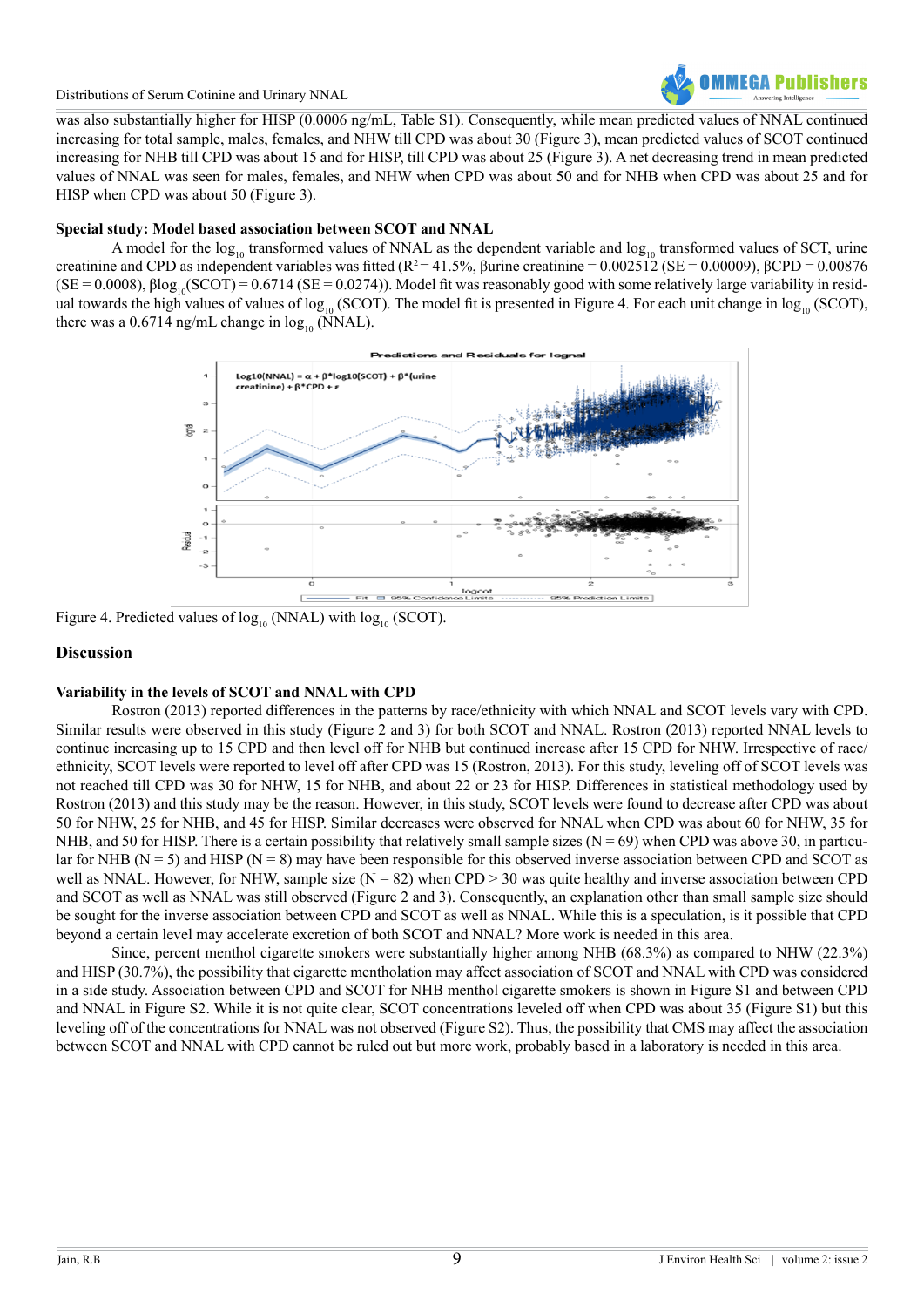

was also substantially higher for HISP (0.0006 ng/mL, Table S1). Consequently, while mean predicted values of NNAL continued increasing for total sample, males, females, and NHW till CPD was about 30 (Figure 3), mean predicted values of SCOT continued increasing for NHB till CPD was about 15 and for HISP, till CPD was about 25 (Figure 3). A net decreasing trend in mean predicted values of NNAL was seen for males, females, and NHW when CPD was about 50 and for NHB when CPD was about 25 and for HISP when CPD was about 50 (Figure 3).

#### **Special study: Model based association between SCOT and NNAL**

A model for the  $log_{10}$  transformed values of NNAL as the dependent variable and  $log_{10}$  transformed values of SCT, urine creatinine and CPD as independent variables was fitted (R<sup>2</sup> = 41.5%, βurine creatinine = 0.002512 (SE = 0.00009), βCPD = 0.00876  $(SE = 0.0008)$ ,  $\beta \log_{10}(SCOT) = 0.6714$  (SE = 0.0274)). Model fit was reasonably good with some relatively large variability in residual towards the high values of values of log<sub>10</sub> (SCOT). The model fit is presented in Figure 4. For each unit change in log<sub>10</sub> (SCOT), there was a 0.6714 ng/mL change in  $log_{10}$  (NNAL).



Figure 4. Predicted values of  $log_{10}$  (NNAL) with  $log_{10}$  (SCOT).

#### **Discussion**

#### **Variability in the levels of SCOT and NNAL with CPD**

Rostron (2013) reported differences in the patterns by race/ethnicity with which NNAL and SCOT levels vary with CPD. Similar results were observed in this study (Figure 2 and 3) for both SCOT and NNAL. Rostron (2013) reported NNAL levels to continue increasing up to 15 CPD and then level off for NHB but continued increase after 15 CPD for NHW. Irrespective of race/ ethnicity, SCOT levels were reported to level off after CPD was 15 (Rostron, 2013). For this study, leveling off of SCOT levels was not reached till CPD was 30 for NHW, 15 for NHB, and about 22 or 23 for HISP. Differences in statistical methodology used by Rostron (2013) and this study may be the reason. However, in this study, SCOT levels were found to decrease after CPD was about 50 for NHW, 25 for NHB, and 45 for HISP. Similar decreases were observed for NNAL when CPD was about 60 for NHW, 35 for NHB, and 50 for HISP. There is a certain possibility that relatively small sample sizes ( $N = 69$ ) when CPD was above 30, in particular for NHB (N = 5) and HISP (N = 8) may have been responsible for this observed inverse association between CPD and SCOT as well as NNAL. However, for NHW, sample size  $(N = 82)$  when CPD > 30 was quite healthy and inverse association between CPD and SCOT as well as NNAL was still observed (Figure 2 and 3). Consequently, an explanation other than small sample size should be sought for the inverse association between CPD and SCOT as well as NNAL. While this is a speculation, is it possible that CPD beyond a certain level may accelerate excretion of both SCOT and NNAL? More work is needed in this area.

Since, percent menthol cigarette smokers were substantially higher among NHB (68.3%) as compared to NHW (22.3%) and HISP (30.7%), the possibility that cigarette mentholation may affect association of SCOT and NNAL with CPD was considered in a side study. Association between CPD and SCOT for NHB menthol cigarette smokers is shown in Figure S1 and between CPD and NNAL in Figure S2. While it is not quite clear, SCOT concentrations leveled off when CPD was about 35 (Figure S1) but this leveling off of the concentrations for NNAL was not observed (Figure S2). Thus, the possibility that CMS may affect the association between SCOT and NNAL with CPD cannot be ruled out but more work, probably based in a laboratory is needed in this area.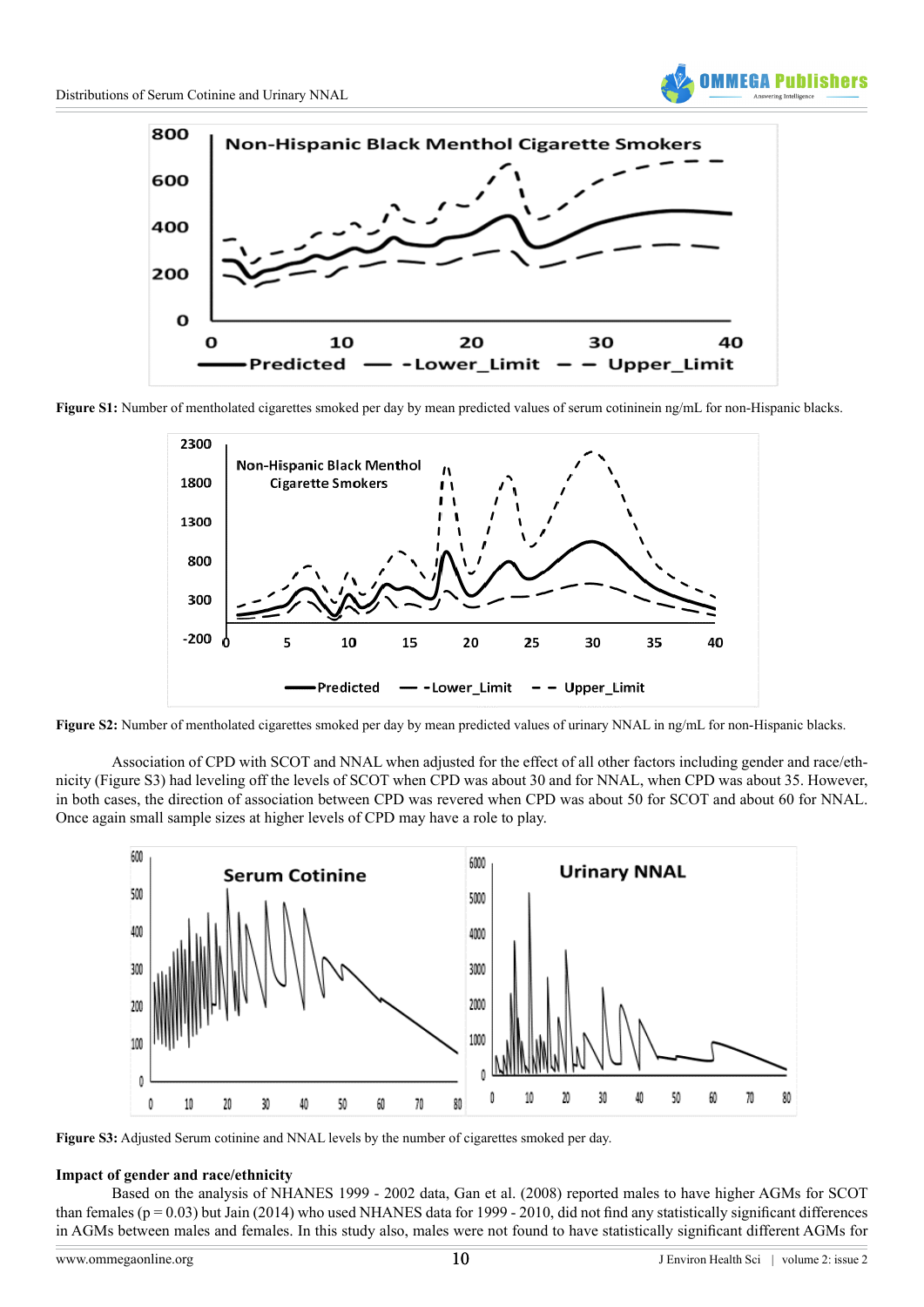



**Figure S1:** Number of mentholated cigarettes smoked per day by mean predicted values of serum cotininein ng/mL for non-Hispanic blacks.



**Figure S2:** Number of mentholated cigarettes smoked per day by mean predicted values of urinary NNAL in ng/mL for non-Hispanic blacks.

Association of CPD with SCOT and NNAL when adjusted for the effect of all other factors including gender and race/ethnicity (Figure S3) had leveling off the levels of SCOT when CPD was about 30 and for NNAL, when CPD was about 35. However, in both cases, the direction of association between CPD was revered when CPD was about 50 for SCOT and about 60 for NNAL. Once again small sample sizes at higher levels of CPD may have a role to play.



**Figure S3:** Adjusted Serum cotinine and NNAL levels by the number of cigarettes smoked per day.

### **Impact of gender and race/ethnicity**

Based on the analysis of NHANES 1999 - 2002 data, Gan et al. (2008) reported males to have higher AGMs for SCOT than females ( $p = 0.03$ ) but Jain (2014) who used NHANES data for 1999 - 2010, did not find any statistically significant differences in AGMs between males and females. In this study also, males were not found to have statistically significant different AGMs for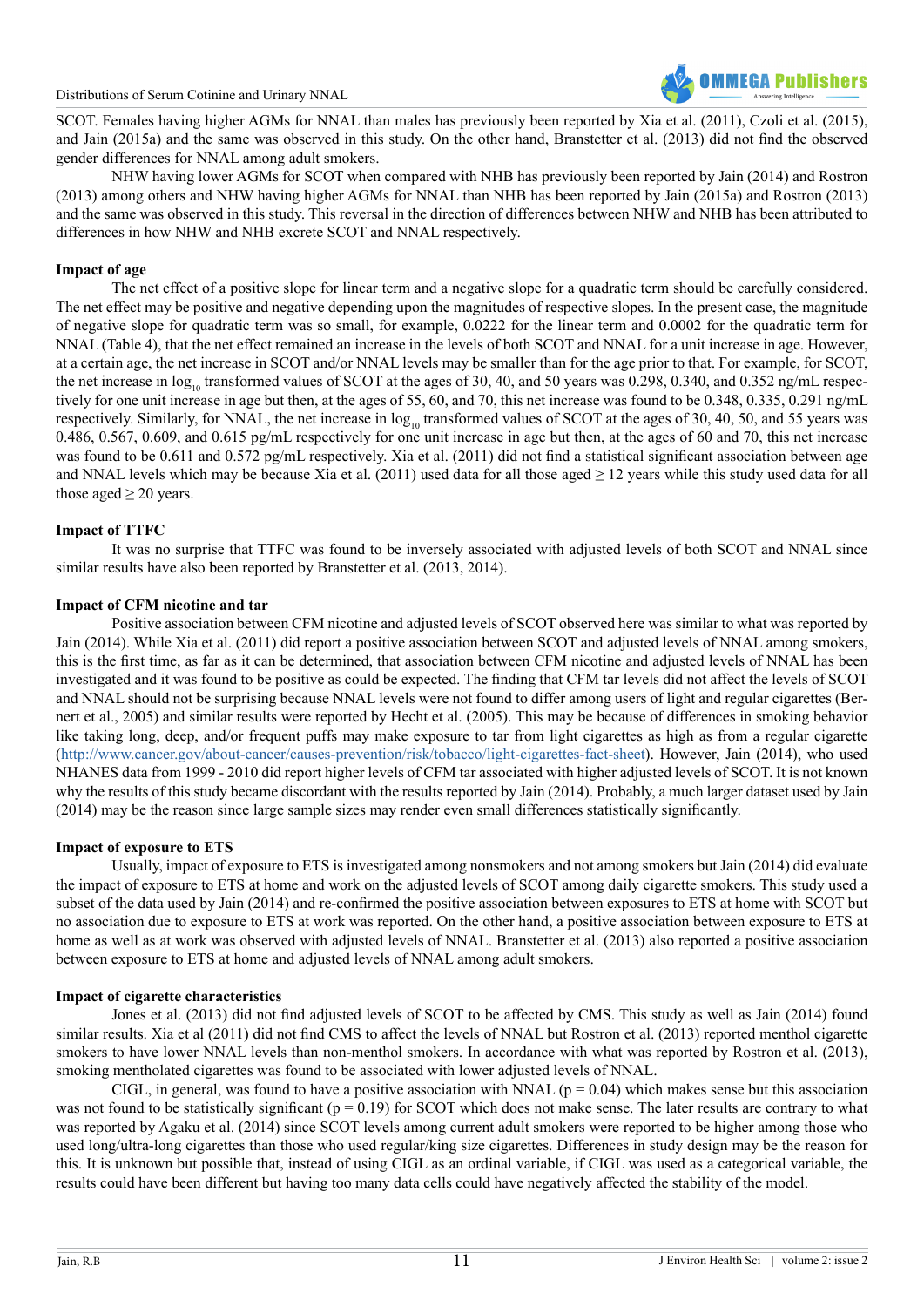

SCOT. Females having higher AGMs for NNAL than males has previously been reported by Xia et al. (2011), Czoli et al. (2015), and Jain (2015a) and the same was observed in this study. On the other hand, Branstetter et al. (2013) did not find the observed gender differences for NNAL among adult smokers.

NHW having lower AGMs for SCOT when compared with NHB has previously been reported by Jain (2014) and Rostron (2013) among others and NHW having higher AGMs for NNAL than NHB has been reported by Jain (2015a) and Rostron (2013) and the same was observed in this study. This reversal in the direction of differences between NHW and NHB has been attributed to differences in how NHW and NHB excrete SCOT and NNAL respectively.

#### **Impact of age**

The net effect of a positive slope for linear term and a negative slope for a quadratic term should be carefully considered. The net effect may be positive and negative depending upon the magnitudes of respective slopes. In the present case, the magnitude of negative slope for quadratic term was so small, for example, 0.0222 for the linear term and 0.0002 for the quadratic term for NNAL (Table 4), that the net effect remained an increase in the levels of both SCOT and NNAL for a unit increase in age. However, at a certain age, the net increase in SCOT and/or NNAL levels may be smaller than for the age prior to that. For example, for SCOT, the net increase in  $log_{10}$  transformed values of SCOT at the ages of 30, 40, and 50 years was 0.298, 0.340, and 0.352 ng/mL respectively for one unit increase in age but then, at the ages of 55, 60, and 70, this net increase was found to be 0.348, 0.335, 0.291 ng/mL respectively. Similarly, for NNAL, the net increase in  $log_{10}$  transformed values of SCOT at the ages of 30, 40, 50, and 55 years was 0.486, 0.567, 0.609, and 0.615 pg/mL respectively for one unit increase in age but then, at the ages of 60 and 70, this net increase was found to be 0.611 and 0.572 pg/mL respectively. Xia et al. (2011) did not find a statistical significant association between age and NNAL levels which may be because Xia et al. (2011) used data for all those aged  $\geq 12$  years while this study used data for all those aged  $\geq 20$  years.

#### **Impact of TTFC**

It was no surprise that TTFC was found to be inversely associated with adjusted levels of both SCOT and NNAL since similar results have also been reported by Branstetter et al. (2013, 2014).

#### **Impact of CFM nicotine and tar**

Positive association between CFM nicotine and adjusted levels of SCOT observed here was similar to what was reported by Jain (2014). While Xia et al. (2011) did report a positive association between SCOT and adjusted levels of NNAL among smokers, this is the first time, as far as it can be determined, that association between CFM nicotine and adjusted levels of NNAL has been investigated and it was found to be positive as could be expected. The finding that CFM tar levels did not affect the levels of SCOT and NNAL should not be surprising because NNAL levels were not found to differ among users of light and regular cigarettes (Bernert et al., 2005) and similar results were reported by Hecht et al. (2005). This may be because of differences in smoking behavior like taking long, deep, and/or frequent puffs may make exposure to tar from light cigarettes as high as from a regular cigarette ([http://www.cancer.gov/about-cancer/causes-prevention/risk/tobacco/light-cigarettes-fact-sheet\)](http://www.cancer.gov/about-cancer/causes-prevention/risk/tobacco/light-cigarettes-fact-sheet). However, Jain (2014), who used NHANES data from 1999 - 2010 did report higher levels of CFM tar associated with higher adjusted levels of SCOT. It is not known why the results of this study became discordant with the results reported by Jain (2014). Probably, a much larger dataset used by Jain (2014) may be the reason since large sample sizes may render even small differences statistically significantly.

#### **Impact of exposure to ETS**

Usually, impact of exposure to ETS is investigated among nonsmokers and not among smokers but Jain (2014) did evaluate the impact of exposure to ETS at home and work on the adjusted levels of SCOT among daily cigarette smokers. This study used a subset of the data used by Jain (2014) and re-confirmed the positive association between exposures to ETS at home with SCOT but no association due to exposure to ETS at work was reported. On the other hand, a positive association between exposure to ETS at home as well as at work was observed with adjusted levels of NNAL. Branstetter et al. (2013) also reported a positive association between exposure to ETS at home and adjusted levels of NNAL among adult smokers.

#### **Impact of cigarette characteristics**

Jones et al. (2013) did not find adjusted levels of SCOT to be affected by CMS. This study as well as Jain (2014) found similar results. Xia et al (2011) did not find CMS to affect the levels of NNAL but Rostron et al. (2013) reported menthol cigarette smokers to have lower NNAL levels than non-menthol smokers. In accordance with what was reported by Rostron et al. (2013), smoking mentholated cigarettes was found to be associated with lower adjusted levels of NNAL.

CIGL, in general, was found to have a positive association with NNAL ( $p = 0.04$ ) which makes sense but this association was not found to be statistically significant ( $p = 0.19$ ) for SCOT which does not make sense. The later results are contrary to what was reported by Agaku et al. (2014) since SCOT levels among current adult smokers were reported to be higher among those who used long/ultra-long cigarettes than those who used regular/king size cigarettes. Differences in study design may be the reason for this. It is unknown but possible that, instead of using CIGL as an ordinal variable, if CIGL was used as a categorical variable, the results could have been different but having too many data cells could have negatively affected the stability of the model.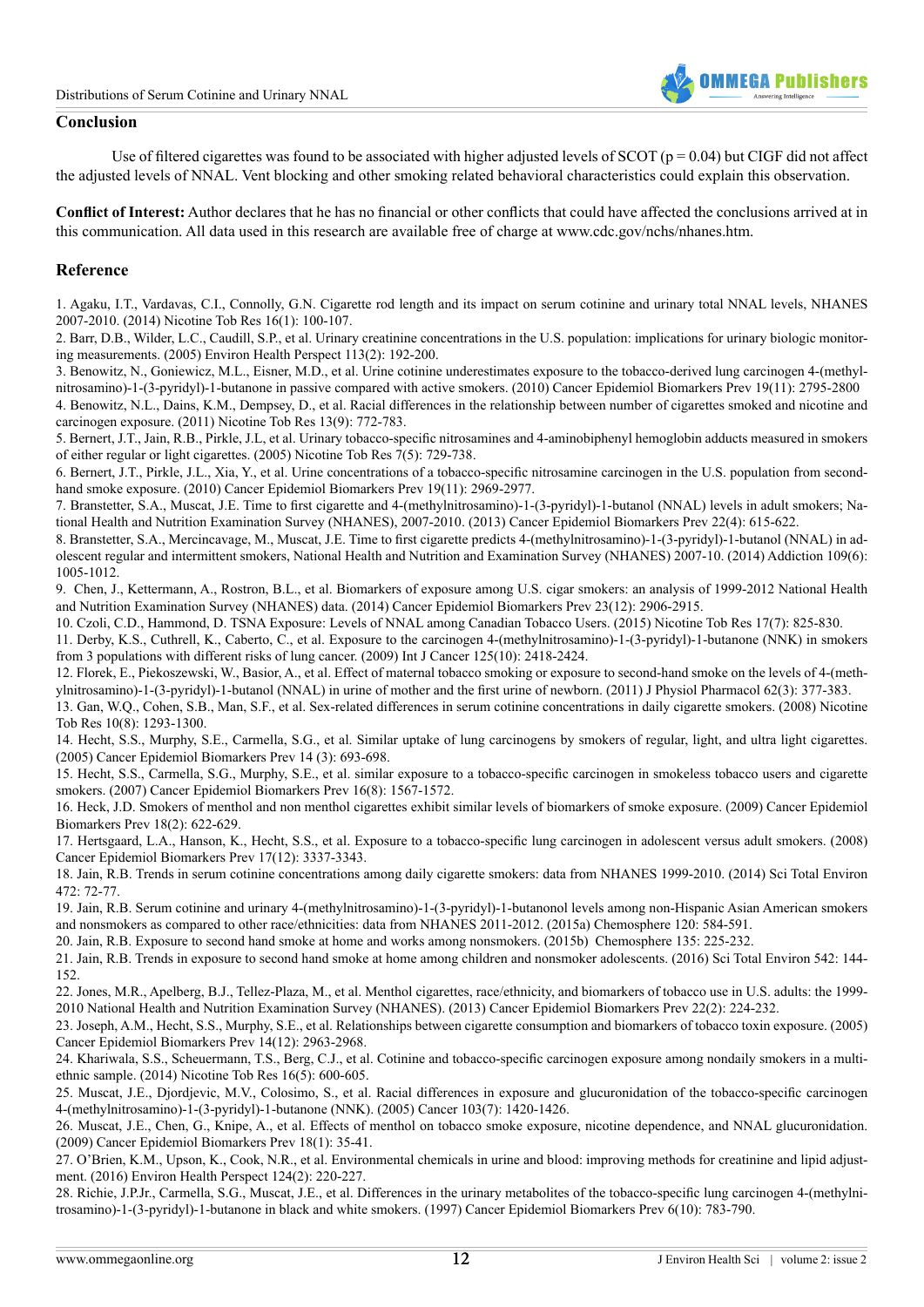

#### **Conclusion**

Use of filtered cigarettes was found to be associated with higher adjusted levels of SCOT ( $p = 0.04$ ) but CIGF did not affect the adjusted levels of NNAL. Vent blocking and other smoking related behavioral characteristics could explain this observation.

**Conflict of Interest:** Author declares that he has no financial or other conflicts that could have affected the conclusions arrived at in this communication. All data used in this research are available free of charge at www.cdc.gov/nchs/nhanes.htm.

#### **Reference**

1. [Agaku, I.T., Vardavas, C.I., Connolly, G.N. Cigarette rod length and its impact on serum cotinine and urinary total NNAL levels, NHANES](http://www.ncbi.nlm.nih.gov/pubmed/24057994) [2007-2010. \(2014\) Nicotine Tob Res 16\(1\): 100-107.](http://www.ncbi.nlm.nih.gov/pubmed/24057994) 

2. [Barr, D.B., Wilder, L.C., Caudill, S.P., et al. Urinary creatinine concentrations in the U.S. population: implications for urinary biologic monitor](http://www.ncbi.nlm.nih.gov/pubmed/15687057)[ing measurements. \(2005\) Environ Health Perspect 113\(2\): 192-200.](http://www.ncbi.nlm.nih.gov/pubmed/15687057) 

3. [Benowitz, N., Goniewicz, M.L., Eisner, M.D., et al. Urine cotinine underestimates exposure to the tobacco-derived lung carcinogen 4-\(methyl](http://www.ncbi.nlm.nih.gov/pubmed/20805316)[nitrosamino\)-1-\(3-pyridyl\)-1-butanone in passive compared with active smokers. \(2010\) Cancer Epidemiol Biomarkers Prev 19\(11\): 2795-2800](http://www.ncbi.nlm.nih.gov/pubmed/20805316) 4. [Benowitz, N.L., Dains, K.M., Dempsey, D., et al. Racial differences in the relationship between number of cigarettes smoked and nicotine and](http://www.ncbi.nlm.nih.gov/pubmed/21546441) [carcinogen exposure. \(2011\) Nicotine Tob Res 13\(9\): 772-783.](http://www.ncbi.nlm.nih.gov/pubmed/21546441)

5. [Bernert, J.T., Jain, R.B., Pirkle, J.L, et al. Urinary tobacco-specific nitrosamines and 4-aminobiphenyl hemoglobin adducts measured in smokers](http://www.ncbi.nlm.nih.gov/pubmed/16191744) [of either regular or light cigarettes. \(2005\) Nicotine Tob Res 7\(5\): 729-738.](http://www.ncbi.nlm.nih.gov/pubmed/16191744)

6. [Bernert, J.T., Pirkle, J.L., Xia, Y., et al. Urine concentrations of a tobacco-specific nitrosamine carcinogen in the U.S. population from second](http://www.ncbi.nlm.nih.gov/pubmed/20833972)[hand smoke exposure. \(2010\) Cancer Epidemiol Biomarkers Prev 19\(11\): 2969-2977.](http://www.ncbi.nlm.nih.gov/pubmed/20833972)

7. [Branstetter, S.A., Muscat, J.E. Time to first cigarette and 4-\(methylnitrosamino\)-1-\(3-pyridyl\)-1-butanol \(NNAL\) levels in adult smokers; Na](http://www.ncbi.nlm.nih.gov/pubmed/23542804)[tional Health and Nutrition Examination Survey \(NHANES\), 2007-2010. \(2013\) Cancer Epidemiol Biomarkers Prev 22\(4\): 615-622.](http://www.ncbi.nlm.nih.gov/pubmed/23542804) 

8. [Branstetter, S.A., Mercincavage, M., Muscat, J.E. Time to first cigarette predicts 4-\(methylnitrosamino\)-1-\(3-pyridyl\)-1-butanol \(NNAL\) in ad](http://www.ncbi.nlm.nih.gov/pubmed/24521204)[olescent regular and intermittent smokers, National Health and Nutrition and Examination Survey \(NHANES\) 2007-10. \(2014\) Addiction 109\(6\):](http://www.ncbi.nlm.nih.gov/pubmed/24521204) [1005-1012.](http://www.ncbi.nlm.nih.gov/pubmed/24521204)

9. [Chen, J., Kettermann, A., Rostron, B.L., et al. Biomarkers of exposure among U.S. cigar smokers: an analysis of 1999-2012 National Health](http://www.ncbi.nlm.nih.gov/pubmed/25380733) [and Nutrition Examination Survey \(NHANES\) data. \(2014\) Cancer Epidemiol Biomarkers Prev 23\(12\): 2906-2915.](http://www.ncbi.nlm.nih.gov/pubmed/25380733)

10. [Czoli, C.D., Hammond, D. TSNA Exposure: Levels of NNAL among Canadian Tobacco Users. \(2015\) Nicotine Tob Res 17\(7\): 825-830.](http://www.ncbi.nlm.nih.gov/pubmed/25481919)

11. [Derby, K.S., Cuthrell, K., Caberto, C., et al. Exposure to the carcinogen 4-\(methylnitrosamino\)-1-\(3-pyridyl\)-1-butanone \(NNK\) in smokers](http://www.ncbi.nlm.nih.gov/pubmed/19598261) [from 3 populations with different risks of lung cancer. \(2009\) Int J Cancer 125\(10\): 2418-2424.](http://www.ncbi.nlm.nih.gov/pubmed/19598261) 

12. [Florek, E., Piekoszewski, W., Basior, A., et al. Effect of maternal tobacco smoking or exposure to second-hand smoke on the levels of 4-\(meth](http://www.ncbi.nlm.nih.gov/pubmed/21893699)[ylnitrosamino\)-1-\(3-pyridyl\)-1-butanol \(NNAL\) in urine of mother and the first urine of newborn. \(2011\) J Physiol Pharmacol 62\(3\): 377-383.](http://www.ncbi.nlm.nih.gov/pubmed/21893699)

13. [Gan, W.Q., Cohen, S.B., Man, S.F., et al. Sex-related differences in serum cotinine concentrations in daily cigarette smokers. \(2008\) Nicotine](http://www.ncbi.nlm.nih.gov/pubmed/18686176) [Tob Res 10\(8\): 1293-1300.](http://www.ncbi.nlm.nih.gov/pubmed/18686176) 

14. [Hecht, S.S., Murphy, S.E., Carmella, S.G., et al. Similar uptake of lung carcinogens by smokers of regular, light, and ultra light cigarettes.](http://www.ncbi.nlm.nih.gov/pubmed/15767351) [\(2005\) Cancer Epidemiol Biomarkers Prev 14 \(3\): 693-698.](http://www.ncbi.nlm.nih.gov/pubmed/15767351)

15. [Hecht, S.S., Carmella, S.G., Murphy, S.E., et al. similar exposure to a tobacco-specific carcinogen in smokeless tobacco users and cigarette](http://www.ncbi.nlm.nih.gov/pubmed/17684130) [smokers. \(2007\) Cancer Epidemiol Biomarkers Prev 16\(8\): 1567-1572.](http://www.ncbi.nlm.nih.gov/pubmed/17684130)

16. [Heck, J.D. Smokers of menthol and non menthol cigarettes exhibit similar levels of biomarkers of smoke exposure. \(2009\) Cancer Epidemiol](http://www.ncbi.nlm.nih.gov/pubmed/19190153) [Biomarkers Prev 18\(2\): 622-629.](http://www.ncbi.nlm.nih.gov/pubmed/19190153) 

17. [Hertsgaard, L.A., Hanson, K., Hecht, S.S., et al. Exposure to a tobacco-specific lung carcinogen in adolescent versus adult smokers. \(2008\)](http://www.ncbi.nlm.nih.gov/pubmed/19064548) [Cancer Epidemiol Biomarkers Prev 17\(12\): 3337-3343.](http://www.ncbi.nlm.nih.gov/pubmed/19064548) 

18. [Jain, R.B. Trends in serum cotinine concentrations among daily cigarette smokers: data from NHANES 1999-2010. \(2014\) Sci Total Environ](http://www.ncbi.nlm.nih.gov/pubmed/24291557) [472: 72-77.](http://www.ncbi.nlm.nih.gov/pubmed/24291557)

19. [Jain, R.B. Serum cotinine and urinary 4-\(methylnitrosamino\)-1-\(3-pyridyl\)-1-butanonol levels among non-Hispanic Asian American smokers](http://europepmc.org/abstract/med/25462301) [and nonsmokers as compared to other race/ethnicities: data from NHANES 2011-2012. \(2015a\) Chemosphere 120: 584-591.](http://europepmc.org/abstract/med/25462301)

20. [Jain, R.B. Exposure to second hand smoke at home and works among nonsmokers. \(2015b\) Chemosphere 135: 225-232.](http://www.ncbi.nlm.nih.gov/pubmed/25965001)

21. [Jain, R.B. Trends in exposure to second hand smoke at home among children and nonsmoker adolescents. \(2016\) Sci Total Environ 542: 144-](http://www.ncbi.nlm.nih.gov/pubmed/26519575) [152.](http://www.ncbi.nlm.nih.gov/pubmed/26519575)

22. [Jones, M.R., Apelberg, B.J., Tellez-Plaza, M., et al. Menthol cigarettes, race/ethnicity, and biomarkers of tobacco use in U.S. adults: the 1999-](http://www.ncbi.nlm.nih.gov/pubmed/23250935) [2010 National Health and Nutrition Examination Survey \(NHANES\). \(2013\) Cancer Epidemiol Biomarkers Prev 22\(2\): 224-232.](http://www.ncbi.nlm.nih.gov/pubmed/23250935)

23. [Joseph, A.M., Hecht, S.S., Murphy, S.E., et al. Relationships between cigarette consumption and biomarkers of tobacco toxin exposure. \(2005\)](http://www.ncbi.nlm.nih.gov/pubmed/16365017) [Cancer Epidemiol Biomarkers Prev 14\(12\): 2963-2968.](http://www.ncbi.nlm.nih.gov/pubmed/16365017)

24. [Khariwala, S.S., Scheuermann, T.S., Berg, C.J., et al. Cotinine and tobacco-specific carcinogen exposure among nondaily smokers in a multi](http://www.ncbi.nlm.nih.gov/pubmed/24297808)[ethnic sample. \(2014\) Nicotine Tob Res 16\(5\): 600-605.](http://www.ncbi.nlm.nih.gov/pubmed/24297808)

25. [Muscat, J.E., Djordjevic, M.V., Colosimo, S., et al. Racial differences in exposure and glucuronidation of the tobacco-specific carcinogen](http://www.ncbi.nlm.nih.gov/pubmed/15726545) [4-\(methylnitrosamino\)-1-\(3-pyridyl\)-1-butanone \(NNK\). \(2005\) Cancer 103\(7\): 1420-1426.](http://www.ncbi.nlm.nih.gov/pubmed/15726545)

26. [Muscat, J.E., Chen, G., Knipe, A., et al. Effects of menthol on tobacco smoke exposure, nicotine dependence, and NNAL glucuronidation.](http://www.ncbi.nlm.nih.gov/pubmed/19124478) [\(2009\) Cancer Epidemiol Biomarkers Prev 18\(1\): 35-41.](http://www.ncbi.nlm.nih.gov/pubmed/19124478) 

27. [O'Brien, K.M., Upson, K., Cook, N.R., et al. Environmental chemicals in urine and blood: improving methods for creatinine and lipid adjust](http://ehp.niehs.nih.gov/1509693/)[ment. \(2016\) Environ Health Perspect 124\(2\): 220-227.](http://ehp.niehs.nih.gov/1509693/) 

28. [Richie, J.P.Jr., Carmella, S.G., Muscat, J.E., et al. Differences in the urinary metabolites of the tobacco-specific lung carcinogen 4-\(methylni](http://www.ncbi.nlm.nih.gov/pubmed/9332760)[trosamino\)-1-\(3-pyridyl\)-1-butanone in black and white smokers. \(1997\) Cancer Epidemiol Biomarkers Prev 6\(10\): 783-790.](http://www.ncbi.nlm.nih.gov/pubmed/9332760)